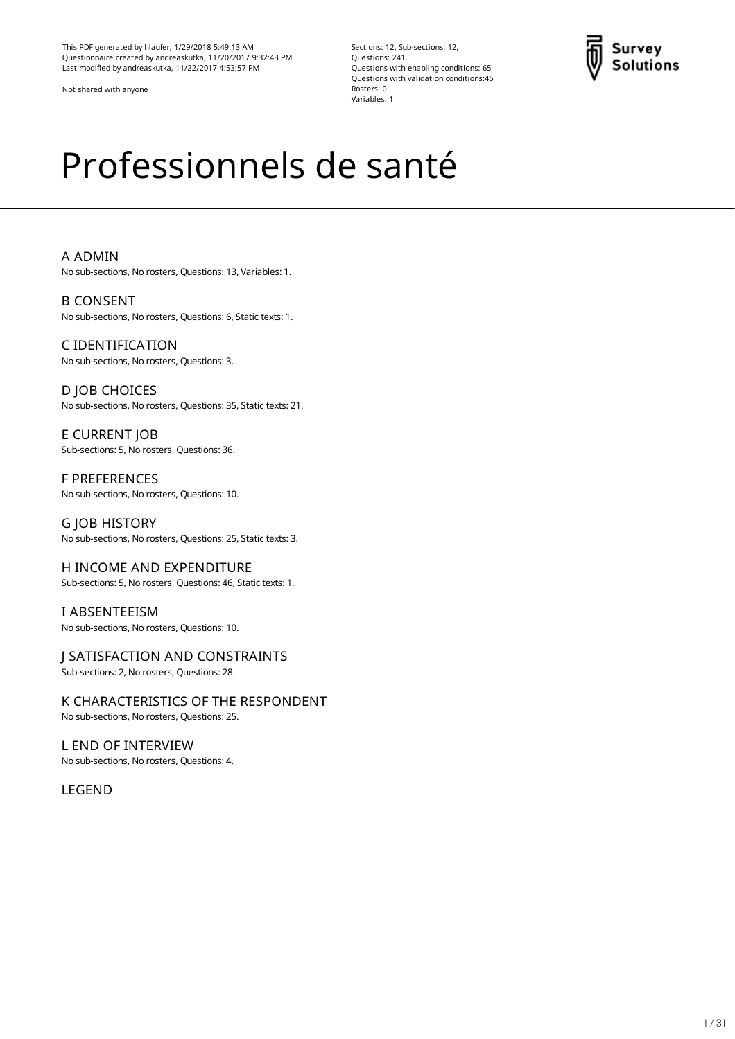This PDF generated by hlaufer, 1/29/2018 5:49:13 AM Questionnaire created by andreaskutka, 11/20/2017 9:32:43 PM Last modified by andreaskutka, 11/22/2017 4:53:57 PM

Not shared with anyone

Sections: 12, Sub-sections: 12, Questions: 241. Questions with enabling conditions: 65 Questions with validation conditions:45 Rosters: 0 Variables: 1



# Professionnels de santé

A [ADMIN](#page-1-0) No sub-sections, No rosters, Questions: 13, Variables: 1.

B [CONSENT](#page-2-0) No sub-sections, No rosters, Questions: 6, Static texts: 1.

C [IDENTIFICATION](#page-3-0) No sub-sections, No rosters, Questions: 3.

D JOB [CHOICES](#page-3-1) No sub-sections, No rosters, Questions: 35, Static texts: 21.

E [CURRENT](#page-9-0) JOB Sub-sections: 5, No rosters, Questions: 36.

F [PREFERENCES](#page-13-0) No sub-sections, No rosters, Questions: 10.

G JOB HISTORY No sub-sections, No rosters, Questions: 25, Static texts: 3.

H INCOME AND [EXPENDITURE](#page-17-0) Sub-sections: 5, No rosters, Questions: 46, Static texts: 1.

I [ABSENTEEISM](#page-21-0) No sub-sections, No rosters, Questions: 10.

J [SATISFACTION](#page-23-0) AND CONSTRAINTS

Sub-sections: 2, No rosters, Questions: 28.

K [CHARACTERISTICS](#page-26-0) OF THE RESPONDENT No sub-sections, No rosters, Questions: 25.

L END OF [INTERVIEW](#page-29-0) No sub-sections, No rosters, Questions: 4.

[LEGEND](#page-30-0)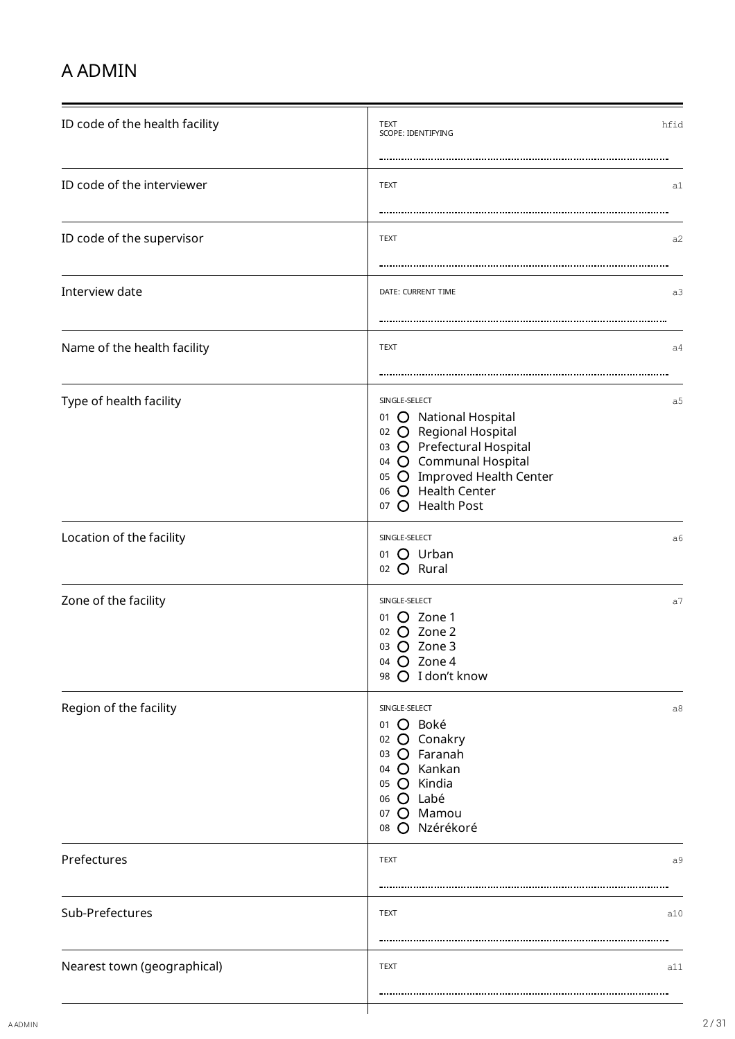# <span id="page-1-0"></span>A ADMIN

| ID code of the health facility | <b>TEXT</b><br>hfid<br>SCOPE: IDENTIFYING                                                                                                                                                                  |
|--------------------------------|------------------------------------------------------------------------------------------------------------------------------------------------------------------------------------------------------------|
| ID code of the interviewer     | <b>TEXT</b><br>a1                                                                                                                                                                                          |
| ID code of the supervisor      | <b>TEXT</b><br>a2                                                                                                                                                                                          |
| Interview date                 | DATE: CURRENT TIME<br>a3                                                                                                                                                                                   |
| Name of the health facility    | <b>TEXT</b><br>a4                                                                                                                                                                                          |
| Type of health facility        | SINGLE-SELECT<br>a5<br>01 O National Hospital<br>02 O Regional Hospital<br>03 O Prefectural Hospital<br>04 O Communal Hospital<br>05 O Improved Health Center<br>06 O Health Center<br>O Health Post<br>07 |
| Location of the facility       | SINGLE-SELECT<br>a6<br>01 O Urban<br>02 O Rural                                                                                                                                                            |
| Zone of the facility           | SINGLE-SELECT<br>a7<br>01 $\bigcirc$ Zone 1<br>02 O Zone 2<br>03 O Zone 3<br>04 O Zone 4<br>98 O I don't know                                                                                              |
| Region of the facility         | SINGLE-SELECT<br>a8<br>01 O Boké<br>02 O Conakry<br>03 O Faranah<br>04 O Kankan<br>05 O Kindia<br>06 O Labé<br>07 O Mamou<br>08 O Nzérékoré                                                                |
| Prefectures                    | <b>TEXT</b><br>a9                                                                                                                                                                                          |
| Sub-Prefectures                | a10<br><b>TEXT</b>                                                                                                                                                                                         |
| Nearest town (geographical)    | <b>TEXT</b><br>a11                                                                                                                                                                                         |

╈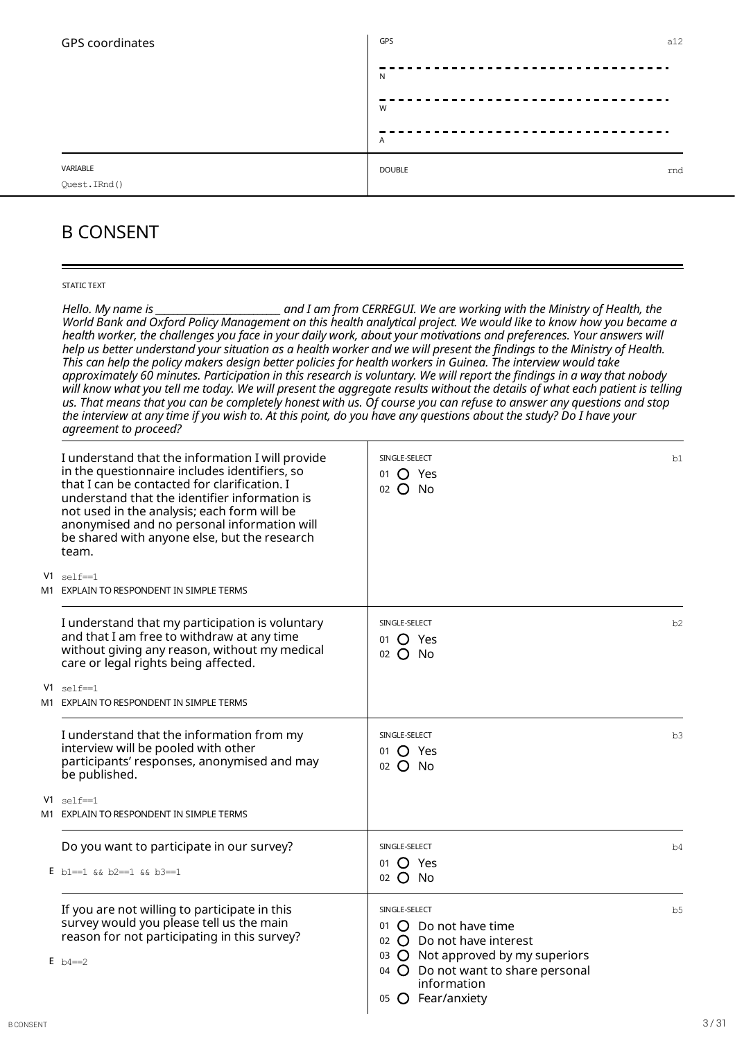| GPS coordinates          | GPS           | a12 |
|--------------------------|---------------|-----|
|                          | $\mathsf{N}$  |     |
|                          | W             |     |
|                          | A             |     |
| VARIABLE<br>Quest.IRnd() | <b>DOUBLE</b> | rnd |

# <span id="page-2-0"></span>B CONSENT

#### STATIC TEXT

Hello. My name is \_\_\_\_\_\_\_\_\_\_\_\_\_\_\_\_\_\_\_\_\_\_\_\_\_\_\_\_\_ and I am from CERREGUI. We are working with the Ministry of Health, the World Bank and Oxford Policy Management on this health analytical project. We would like to know how you became a health worker, the challenges you face in your daily work, about your motivations and preferences. Your answers will help us better understand your situation as a health worker and we will present the findings to the Ministry of Health. This can help the policy makers design better policies for health workers in Guinea. The interview would take approximately 60 minutes. Participation in this research is voluntary. We will report the findings in a way that nobody will know what you tell me today. We will present the aggregate results without the details of what each patient is telling us. That means that you can be completely honest with us. Of course you can refuse to answer any questions and stop the interview at any time if you wish to. At this point, do you have any questions about the study? Do I have your *agreement to proceed?*

|      | I understand that the information I will provide<br>in the questionnaire includes identifiers, so<br>that I can be contacted for clarification. I<br>understand that the identifier information is<br>not used in the analysis; each form will be<br>anonymised and no personal information will<br>be shared with anyone else, but the research<br>team. | SINGLE-SELECT<br>01 ( ) Yes<br>$02$ O No                                                                                                                                                    | b1             |
|------|-----------------------------------------------------------------------------------------------------------------------------------------------------------------------------------------------------------------------------------------------------------------------------------------------------------------------------------------------------------|---------------------------------------------------------------------------------------------------------------------------------------------------------------------------------------------|----------------|
|      | $V1$ self==1<br>M1 EXPLAIN TO RESPONDENT IN SIMPLE TERMS                                                                                                                                                                                                                                                                                                  |                                                                                                                                                                                             |                |
|      | I understand that my participation is voluntary<br>and that I am free to withdraw at any time<br>without giving any reason, without my medical<br>care or legal rights being affected.                                                                                                                                                                    | SINGLE-SELECT<br>01 O Yes<br>$02$ O No                                                                                                                                                      | b2             |
| M1 - | $V1$ self==1<br>EXPLAIN TO RESPONDENT IN SIMPLE TERMS                                                                                                                                                                                                                                                                                                     |                                                                                                                                                                                             |                |
|      | I understand that the information from my<br>interview will be pooled with other<br>participants' responses, anonymised and may<br>be published.                                                                                                                                                                                                          | SINGLE-SELECT<br>01 $\Omega$ Yes<br>02 O No                                                                                                                                                 | b3             |
| M1   | $V1 \text{ self} == 1$<br>EXPLAIN TO RESPONDENT IN SIMPLE TERMS                                                                                                                                                                                                                                                                                           |                                                                                                                                                                                             |                |
|      | Do you want to participate in our survey?<br>$E_{\rm b1==1}$ && b2==1 && b3==1                                                                                                                                                                                                                                                                            | SINGLE-SELECT<br>01 $\bigcirc$ Yes<br>$02$ O No                                                                                                                                             | b4             |
|      | If you are not willing to participate in this<br>survey would you please tell us the main<br>reason for not participating in this survey?<br>$E_{\text{b4} == 2}$                                                                                                                                                                                         | SINGLE-SELECT<br>01 O Do not have time<br>02 $\bigcirc$ Do not have interest<br>03 O Not approved by my superiors<br>04 O Do not want to share personal<br>information<br>05 O Fear/anxiety | b <sub>5</sub> |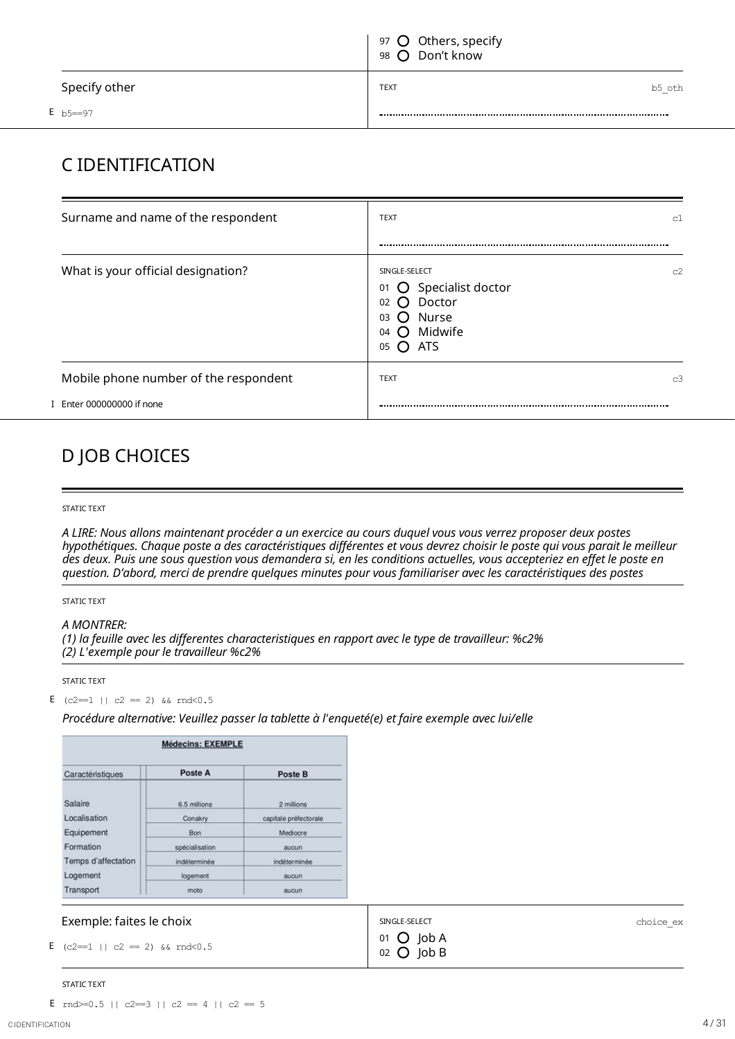|                     | 97 O Others, specify<br>98 O Don't know |        |
|---------------------|-----------------------------------------|--------|
| Specify other       | <b>TEXT</b>                             | b5 oth |
| $E_{\text{b5}==97}$ |                                         |        |

# <span id="page-3-0"></span>C IDENTIFICATION

| Surname and name of the respondent    | <b>TEXT</b><br>c1                                                                                                    |
|---------------------------------------|----------------------------------------------------------------------------------------------------------------------|
|                                       |                                                                                                                      |
| What is your official designation?    | SINGLE-SELECT<br>c2<br>01 O Specialist doctor<br>O Doctor<br>02<br>O Nurse<br>03<br>O Midwife<br>04<br>$O$ ATS<br>05 |
| Mobile phone number of the respondent | <b>TEXT</b><br>c <sub>3</sub>                                                                                        |
| I Enter 000000000 if none             |                                                                                                                      |

# <span id="page-3-1"></span>D JOB CHOICES

#### STATIC TEXT

A LIRE: Nous allons maintenant procéder a un exercice au cours duquel vous vous verrez proposer deux postes hypothétiques. Chaque poste a des caractéristiques différentes et vous devrez choisir le poste qui vous parait le meilleur des deux. Puis une sous question vous demandera si, en les conditions actuelles, vous accepteriez en effet le poste en *question. D'abord, merci de prendre quelques minutes pourvous familiariser avec les caractéristiques des postes*

#### STATIC TEXT

#### *A MONTRER:*

*(1) la feuille avec les differentes characteristiques en rapport avec le type de travailleur: %c2% (2) L'exemple pour le travailleur %c2%*

#### STATIC TEXT

E (c2==1 || c2 == 2) && rnd<0.5

#### *Procédure alternative: Veuillez passer la tablette à l'enqueté(e) et faire exemple avec lui/elle*

|                     | <b>Médecins: EXEMPLE</b> |                       |
|---------------------|--------------------------|-----------------------|
| Caractéristiques    | Poste A                  | Poste B               |
| Salaire             | 6.5 millions             | 2 millions            |
| Localisation        | Conakry                  | capitale préfectorale |
| Equipement          | <b>Bon</b>               | Mediocre              |
| Formation           | spécialisation           | aucun                 |
| Temps d'affectation | indéterminée             | indéterminée          |
| Logement            | logement                 | aucun                 |
| Transport           | moto                     | aucun                 |

### Exemple: faites le choix

E (c2==1 || c2 == 2) && rnd<0.5

SINGLE-SELECT choice ex 01  $O$  Job A  $02$  O  $job B$ 

STATIC TEXT

```
E \text{rnd} > = 0.5 \mid | \text{ c2} == 3 \mid | \text{ c2} == 4 \mid | \text{ c2} == 5
```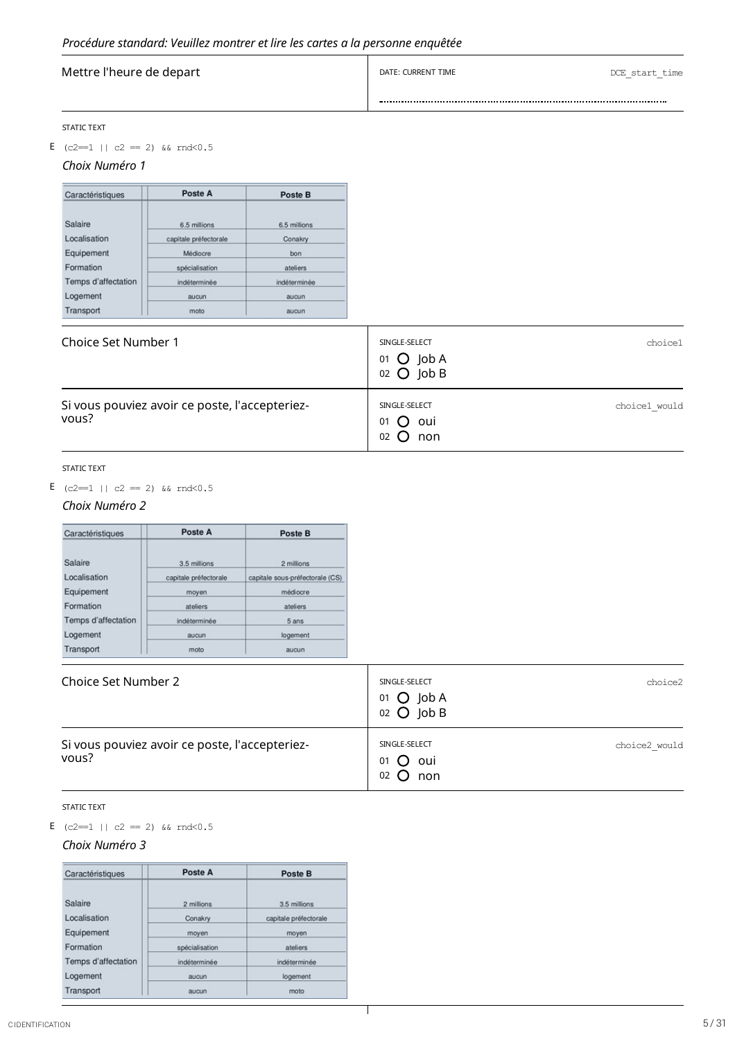| Mettre l'heure de depart         |                                                |              | DATE: CURRENT TIME | DCE start time |
|----------------------------------|------------------------------------------------|--------------|--------------------|----------------|
|                                  |                                                |              |                    |                |
| <b>STATIC TEXT</b>               |                                                |              |                    |                |
| E $(c2=1   c2 == 2)$ & $rnd<0.5$ |                                                |              |                    |                |
| Choix Numéro 1                   |                                                |              |                    |                |
| Caractéristiques                 | Poste A                                        | Poste B      |                    |                |
| Salaire                          | 6.5 millions                                   | 6.5 millions |                    |                |
| Localisation                     | capitale préfectorale                          | Conakry      |                    |                |
| Equipement                       | Médiocre                                       | bon          |                    |                |
| Formation                        | spécialisation                                 | ateliers     |                    |                |
| Temps d'affectation              | indéterminée                                   | indéterminée |                    |                |
| Logement                         | aucun                                          | aucun        |                    |                |
| Transport                        | moto                                           | aucun        |                    |                |
| Choice Set Number 1              |                                                |              | SINGLE-SELECT      | choice1        |
|                                  |                                                |              | 01 $O$ Job A       |                |
|                                  |                                                |              | 02 O Job B         |                |
|                                  |                                                |              |                    |                |
|                                  | Si vous pouviez avoir ce poste, l'accepteriez- |              | SINGLE-SELECT      | choice1 would  |
| vous?                            |                                                |              | oui<br>01<br>( )   |                |
|                                  |                                                |              | non<br>02<br>Ω     |                |

E (c2==1 || c2 == 2) &&  $\text{rnd} < 0.5$ 

# *Choix Numéro 2*

| Caractéristiques    | Poste A               | Poste B                         |
|---------------------|-----------------------|---------------------------------|
| Salaire             | 3.5 millions          | 2 millions                      |
| Localisation        | capitale préfectorale | capitale sous-préfectorale (CS) |
| Equipement          | moyen                 | médiocre                        |
| Formation           | ateliers              | ateliers                        |
| Temps d'affectation | indéterminée          | 5 ans                           |
| Logement            | aucun                 | logement                        |
| Transport           | moto                  | aucun                           |

| Choice Set Number 2                                     | SINGLE-SELECT<br>$01$ $O$ $J$ ob A<br>$02$ O $job B$ | choice2       |
|---------------------------------------------------------|------------------------------------------------------|---------------|
| Si vous pouviez avoir ce poste, l'accepteriez-<br>vous? | SINGLE-SELECT<br>$01$ $O$ oui<br>$02$ O non          | choice2 would |

Τ

STATIC TEXT

E (c2==1 || c2 == 2) && rnd<0.5

### *Choix Numéro 3*

| Caractéristiques    | Poste A        | Poste B               |
|---------------------|----------------|-----------------------|
| Salaire             | 2 millions     | 3.5 millions          |
| Localisation        | Conakry        | capitale préfectorale |
| Equipement          | moyen          | moyen                 |
| Formation           | spécialisation | ateliers              |
| Temps d'affectation | indéterminée   | indéterminée          |
| Logement            | aucun          | logement              |
| Transport           | aucun          | moto                  |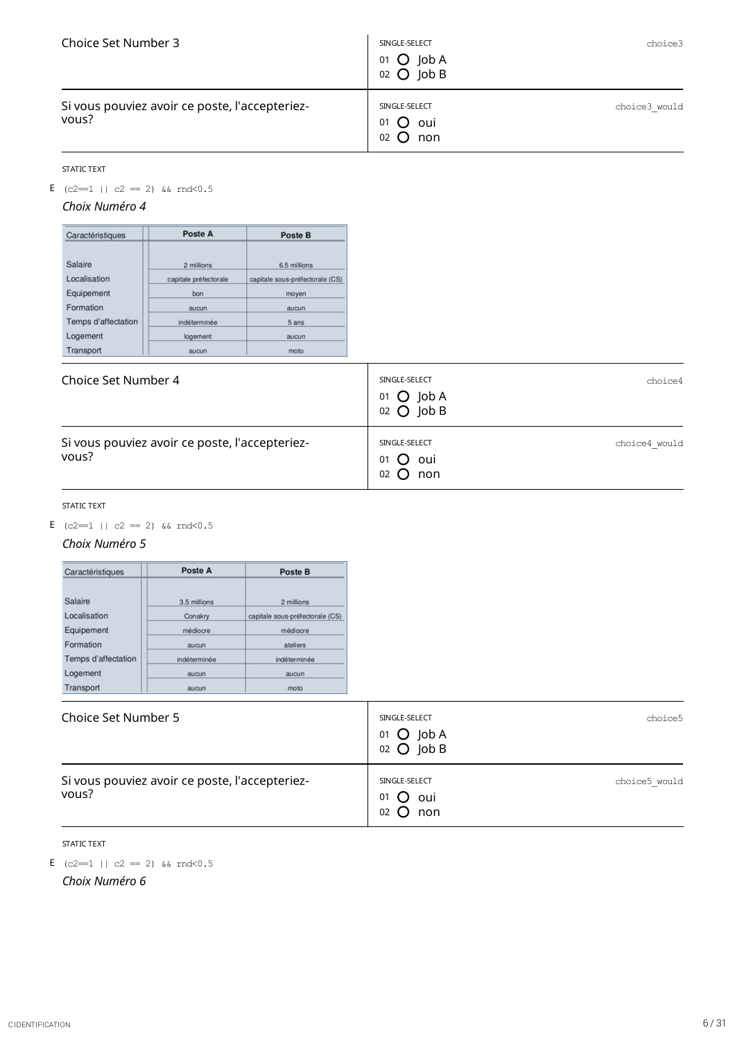| Choice Set Number 3                                     | SINGLE-SELECT<br>01 $O$ Job A<br>$02$ O $ $ ob B       | choice3       |
|---------------------------------------------------------|--------------------------------------------------------|---------------|
| Si vous pouviez avoir ce poste, l'accepteriez-<br>vous? | SINGLE-SELECT<br>$01$ $O$ oui<br>$02$ $\bullet$<br>non | choice3 would |

E (c2==1 || c2 = 2) &&  $\text{rnd} < 0.5$ 

# *Choix Numéro 4*

| Caractéristiques    | Poste A               | Poste B                         |
|---------------------|-----------------------|---------------------------------|
|                     |                       |                                 |
| Salaire             | 2 millions            | 6.5 millions                    |
| Localisation        | capitale préfectorale | capitale sous-préfectorale (CS) |
| Equipement          | bon                   | moyen                           |
| Formation           | aucun                 | aucun                           |
| Temps d'affectation | indéterminée          | 5 ans                           |
| Logement            | logement              | aucun                           |
| Transport           | aucun                 | moto                            |

| Choice Set Number 4                                     | SINGLE-SELECT<br>$01$ $O$ $J$ ob A<br>$02$ O $job B$   | choice4       |
|---------------------------------------------------------|--------------------------------------------------------|---------------|
| Si vous pouviez avoir ce poste, l'accepteriez-<br>vous? | SINGLE-SELECT<br>$01$ $O$ oui<br>non<br>$02$ $\bullet$ | choice4 would |

#### STATIC TEXT

E (c2=1 || c2 == 2) &&  $\text{rnd} < 0.5$ 

### *Choix Numéro 5*

| Caractéristiques    | Poste A      | Poste B                         |  |
|---------------------|--------------|---------------------------------|--|
|                     |              |                                 |  |
| Salaire             | 3.5 millions | 2 millions                      |  |
| Localisation        | Conakry      | capitale sous-préfectorale (CS) |  |
| Equipement          | médiocre     | médiocre                        |  |
| Formation           | aucun        | ateliers                        |  |
| Temps d'affectation | indéterminée | indéterminée                    |  |
| Logement            | aucun        | aucun                           |  |
| Transport           | aucun        | moto                            |  |

| Choice Set Number 5                                     | SINGLE-SELECT<br>01 $O$ Job A<br>$02$ O $job B$ | choice5       |
|---------------------------------------------------------|-------------------------------------------------|---------------|
| Si vous pouviez avoir ce poste, l'accepteriez-<br>vous? | SINGLE-SELECT<br>$01$ $O$ oui<br>$02$ O non     | choice5 would |

STATIC TEXT

*Choix Numéro 6* E (c2==1 || c2 == 2) &&  $\text{rnd} < 0.5$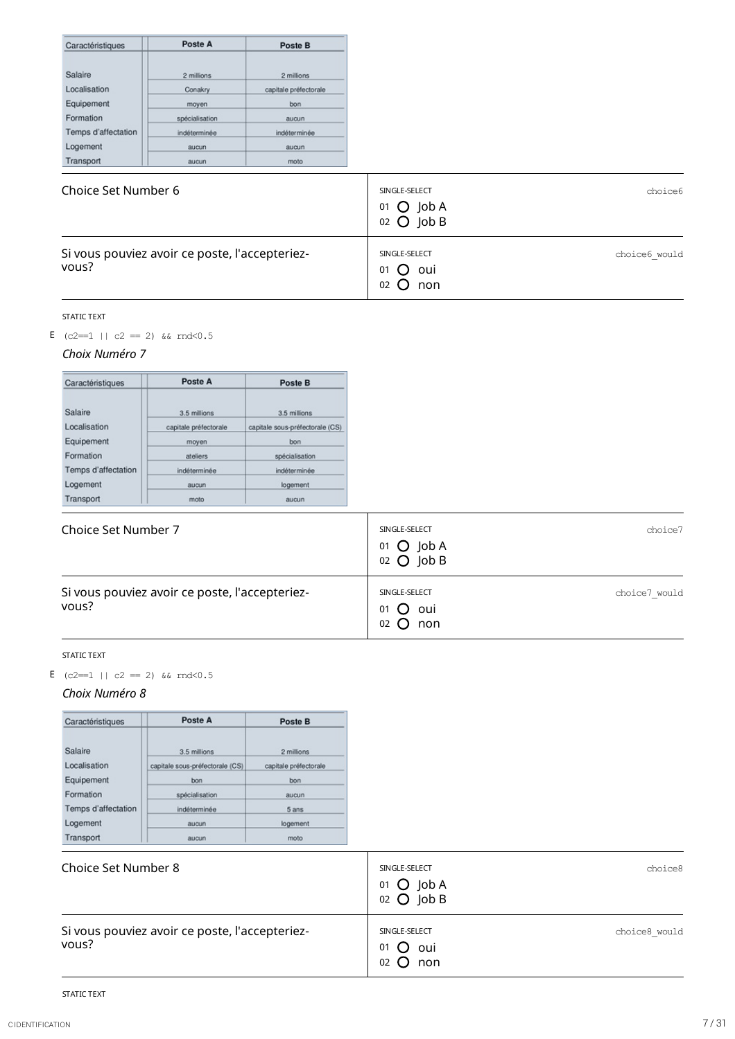| Caractéristiques                                                                                   | Poste A                                                                            | Poste B                                                                              |                                                                   |               |
|----------------------------------------------------------------------------------------------------|------------------------------------------------------------------------------------|--------------------------------------------------------------------------------------|-------------------------------------------------------------------|---------------|
| Salaire<br>Localisation<br>Equipement<br>Formation<br>Temps d'affectation<br>Logement<br>Transport | 2 millions<br>Conakry<br>moyen<br>spécialisation<br>indéterminée<br>aucun<br>aucun | 2 millions<br>capitale préfectorale<br>bon<br>aucun<br>indéterminée<br>aucun<br>moto |                                                                   |               |
| Choice Set Number 6                                                                                |                                                                                    |                                                                                      | SINGLE-SELECT<br>$O$ Job A<br>01<br>Job B<br>$\overline{O}$<br>02 | choice6       |
| vous?                                                                                              | Si vous pouviez avoir ce poste, l'accepteriez-                                     |                                                                                      | SINGLE-SELECT<br>01<br>oui<br>$\left( \quad \right)$<br>02<br>non | choice6 would |

E (c2==1 || c2 == 2) &&  $\text{rnd} < 0.5$ 

### *Choix Numéro 7*

| Caractéristiques                                        | Poste A               | Poste B                         |                                                              |               |
|---------------------------------------------------------|-----------------------|---------------------------------|--------------------------------------------------------------|---------------|
|                                                         |                       |                                 |                                                              |               |
| Salaire                                                 | 3.5 millions          | 3.5 millions                    |                                                              |               |
| Localisation                                            | capitale préfectorale | capitale sous-préfectorale (CS) |                                                              |               |
| Equipement                                              | moyen                 | bon                             |                                                              |               |
| Formation                                               | ateliers              | spécialisation                  |                                                              |               |
| Temps d'affectation                                     | indéterminée          | indéterminée                    |                                                              |               |
| Logement                                                | aucun                 | logement                        |                                                              |               |
| Transport                                               | moto                  | aucun                           |                                                              |               |
| Choice Set Number 7                                     |                       |                                 | SINGLE-SELECT<br>Job A<br>O<br>01<br>Job B<br>$\Omega$<br>02 | choice7       |
| Si vous pouviez avoir ce poste, l'accepteriez-<br>vous? |                       |                                 | SINGLE-SELECT<br>01<br>oui                                   | choice7 would |

02

non

#### STATIC TEXT

```
E (c2==1 || c2 == 2) && rnd<0.5
```
### *Choix Numéro 8*

| Caractéristiques    | Poste A                         | Poste B               |
|---------------------|---------------------------------|-----------------------|
| Salaire             | 3.5 millions                    | 2 millions            |
| Localisation        | capitale sous-préfectorale (CS) | capitale préfectorale |
| Equipement          | bon                             | bon                   |
| Formation           | spécialisation                  | aucun                 |
| Temps d'affectation | indéterminée                    | 5 ans                 |
| Logement            | aucun                           | logement              |
| Transport           | aucun                           | moto                  |

| Choice Set Number 8                                     | SINGLE-SELECT<br>01 $O$ Job A<br>$02$ O $job B$        | choice8       |
|---------------------------------------------------------|--------------------------------------------------------|---------------|
| Si vous pouviez avoir ce poste, l'accepteriez-<br>vous? | SINGLE-SELECT<br>$01$ $O$ oui<br>$02$ $\bullet$<br>non | choice8 would |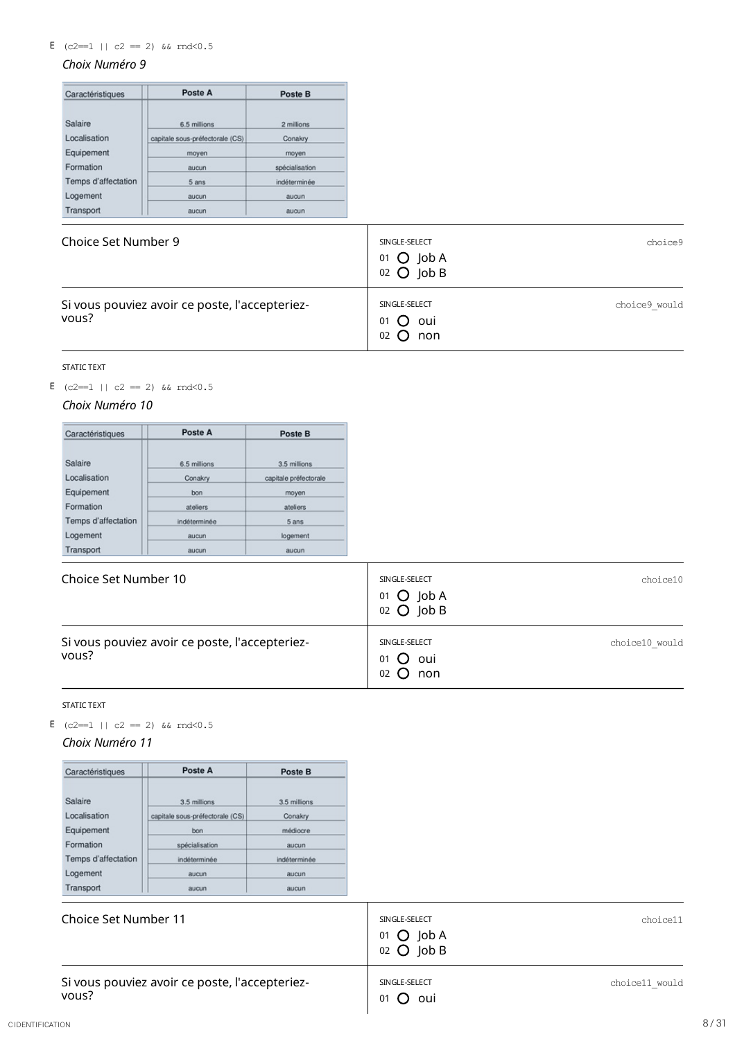E (c2==1 || c2 == 2) &&  $\text{rnd} < 0.5$ 

## *Choix Numéro 9*

| Caractéristiques    | Poste A                         | Poste B        |
|---------------------|---------------------------------|----------------|
| Salaire             | 6.5 millions                    | 2 millions     |
| Localisation        | capitale sous-préfectorale (CS) | Conakry        |
| Equipement          | moyen                           | moyen          |
| Formation           | aucun                           | spécialisation |
| Temps d'affectation | 5 ans                           | indéterminée   |
| Logement            | aucun                           | aucun          |
| Transport           | aucun                           | aucun          |

| Choice Set Number 9                                     | SINGLE-SELECT<br>$01$ $O$ $J$ ob A<br>$02$ O $job B$   | choice9       |
|---------------------------------------------------------|--------------------------------------------------------|---------------|
| Si vous pouviez avoir ce poste, l'accepteriez-<br>vous? | SINGLE-SELECT<br>$01$ $O$ oui<br>$02$ $\bullet$<br>non | choice9 would |

STATIC TEXT

E (c2==1 || c2 = 2) && rnd<0.5

# *Choix Numéro 10*

| Caractéristiques    | Poste A      | Poste B               |
|---------------------|--------------|-----------------------|
| Salaire             | 6.5 millions | 3.5 millions          |
| Localisation        | Conakry      | capitale préfectorale |
| Equipement          | bon          | moyen                 |
| Formation           | ateliers     | ateliers              |
| Temps d'affectation | indéterminée | 5 ans                 |
| Logement            | aucun        | logement              |
| Transport           | aucun        | aucun                 |

| Choice Set Number 10                                    | SINGLE-SELECT<br>$01$ $O$ $J$ ob A<br>$02$ O $ $ ob B | choice10       |
|---------------------------------------------------------|-------------------------------------------------------|----------------|
| Si vous pouviez avoir ce poste, l'accepteriez-<br>vous? | SINGLE-SELECT<br>$01$ $O$ oui<br>$O2$ $O3$<br>non     | choice10 would |

#### STATIC TEXT

E (c2==1 || c2 = 2) && rnd<0.5

# *Choix Numéro 11*

| Caractéristiques    | Poste A                         | Poste B      |
|---------------------|---------------------------------|--------------|
| Salaire             | 3.5 millions                    | 3.5 millions |
| Localisation        | capitale sous-préfectorale (CS) | Conakry      |
| Equipement          | bon                             | médiocre     |
| Formation           | spécialisation                  | aucun        |
| Temps d'affectation | indéterminée                    | indéterminée |
| Logement            | aucun                           | aucun        |
| Transport           | aucun                           | aucun        |

|                                                         | 01 $\bigcirc$ Job A<br>02 $\bigcirc$ Job B |                |
|---------------------------------------------------------|--------------------------------------------|----------------|
| Si vous pouviez avoir ce poste, l'accepteriez-<br>vous? | SINGLE-SELECT<br>$01$ $O$ oui              | choice11 would |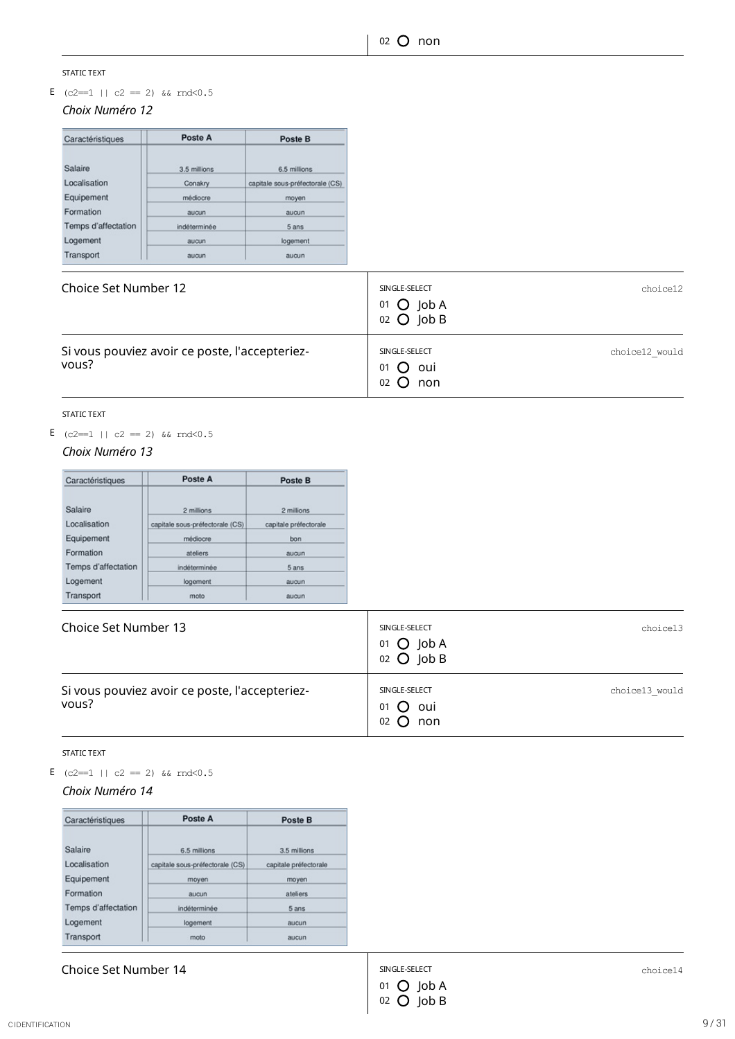E (c2==1 || c2 == 2) && rnd<0.5

# *Choix Numéro 12*

| Caractéristiques    | Poste A      | Poste B                         |
|---------------------|--------------|---------------------------------|
| Salaire             | 3.5 millions | 6.5 millions                    |
| Localisation        | Conakry      | capitale sous-préfectorale (CS) |
| Equipement          | médiocre     | moyen                           |
| Formation           | aucun        | aucun                           |
| Temps d'affectation | indéterminée | 5 ans                           |
| Logement            | aucun        | logement                        |
| Transport           | aucun        | aucun                           |

| Choice Set Number 12                                    | SINGLE-SELECT<br>01 $O$ Job A<br>$02$ O $ $ ob B  | choice12       |
|---------------------------------------------------------|---------------------------------------------------|----------------|
| Si vous pouviez avoir ce poste, l'accepteriez-<br>vous? | SINGLE-SELECT<br>$01$ $O$ oui<br>$O2$ $O3$<br>non | choice12 would |

STATIC TEXT

E (c2==1 || c2 = 2) && rnd<0.5

### *Choix Numéro 13*

| Caractéristiques    | Poste A                         | Poste B               |
|---------------------|---------------------------------|-----------------------|
| Salaire             | 2 millions                      | 2 millions            |
| Localisation        | capitale sous-préfectorale (CS) | capitale préfectorale |
| Equipement          | médiocre                        | bon                   |
| Formation           | ateliers                        | aucun                 |
| Temps d'affectation | indéterminée                    | 5 ans                 |
| Logement            | logement                        | aucun                 |
| Transport           | moto                            | aucun                 |

| Choice Set Number 13                                    | SINGLE-SELECT<br>$01$ $O$ $Job A$<br>$02$ O $ $ ob B  | choice13       |
|---------------------------------------------------------|-------------------------------------------------------|----------------|
| Si vous pouviez avoir ce poste, l'accepteriez-<br>vous? | SINGLE-SELECT<br>$01$ $O$ oui<br>$02$ $\Omega$<br>non | choice13 would |

STATIC TEXT

E (c2==1 || c2 == 2) &&  $\text{rnd} < 0.5$ 

# *Choix Numéro 14*

| Caractéristiques    | Poste A                         | Poste B               |
|---------------------|---------------------------------|-----------------------|
| Salaire             | 6.5 millions                    | 3.5 millions          |
| Localisation        | capitale sous-préfectorale (CS) | capitale préfectorale |
| Equipement          | moyen                           | moyen                 |
| Formation           | aucun                           | ateliers              |
| Temps d'affectation | indéterminée                    | 5 ans                 |
| Logement            | logement                        | aucun                 |
| Transport           | moto                            | aucun                 |

Choice Set Number 14

SINGLE-SELECT choice14 01  $O$  Job A  $02$  O  $job B$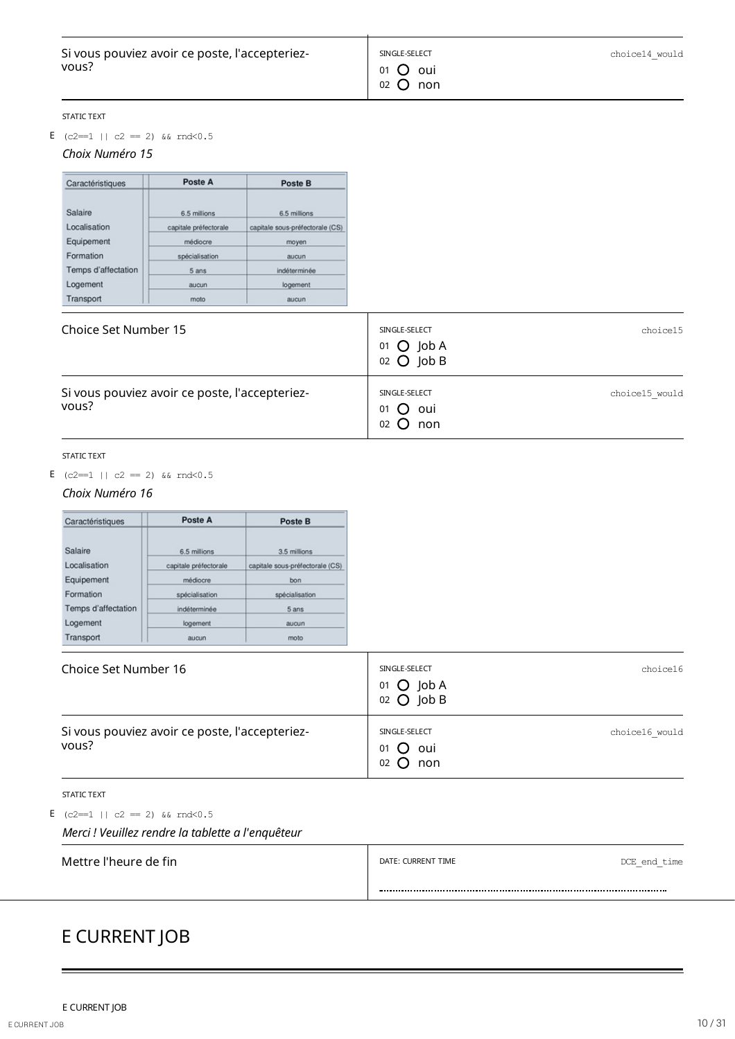E (c2==1 || c2 == 2) && rnd<0.5

### *Choix Numéro 15*

| Caractéristiques    | Poste A               | Poste B                         |
|---------------------|-----------------------|---------------------------------|
| Salaire             | 6.5 millions          | 6.5 millions                    |
| Localisation        | capitale préfectorale | capitale sous-préfectorale (CS) |
| Equipement          | médiocre              | moyen                           |
| Formation           | spécialisation        | aucun                           |
| Temps d'affectation | 5 ans                 | indéterminée                    |
| Logement            | aucun                 | logement                        |
| Transport           | moto                  | aucun                           |

| Choice Set Number 15                                    | SINGLE-SELECT<br>$01$ $O$ $Job A$<br>$02$ O $ $ ob B | choice15       |
|---------------------------------------------------------|------------------------------------------------------|----------------|
| Si vous pouviez avoir ce poste, l'accepteriez-<br>vous? | SINGLE-SELECT<br>$01$ $O$ oui<br>$02 \Omega$<br>non  | choice15 would |

STATIC TEXT

#### E (c2==1 || c2 == 2) && rnd<0.5

# *Choix Numéro 16*

| Caractéristiques    | Poste A               | Poste B                         |
|---------------------|-----------------------|---------------------------------|
| Salaire             | 6.5 millions          | 3.5 millions                    |
| Localisation        | capitale préfectorale | capitale sous-préfectorale (CS) |
| Equipement          | médiocre              | bon                             |
| Formation           | spécialisation        | spécialisation                  |
| Temps d'affectation | indéterminée          | 5 ans                           |
| Logement            | logement              | aucun                           |
| Transport           | aucun                 | moto                            |

| Choice Set Number 16                                    | SINGLE-SELECT<br>$01$ O $J$ ob A<br>$02$ O $job B$       | choice16       |
|---------------------------------------------------------|----------------------------------------------------------|----------------|
| Si vous pouviez avoir ce poste, l'accepteriez-<br>vous? | SINGLE-SELECT<br>$01$ $O$ $out$<br>non<br>$02$ $\bullet$ | choice16 would |

STATIC TEXT

E  $(c2=1 | c2 = 2)$  &  $rnd<0.5$ 

### *Merci ! Veuillez rendre la tablette a l'enquêteur*

| Mettre l'heure de fin | DATE: CURRENT TIME | DCE end time |
|-----------------------|--------------------|--------------|
|                       |                    |              |

# <span id="page-9-0"></span>E CURRENT JOB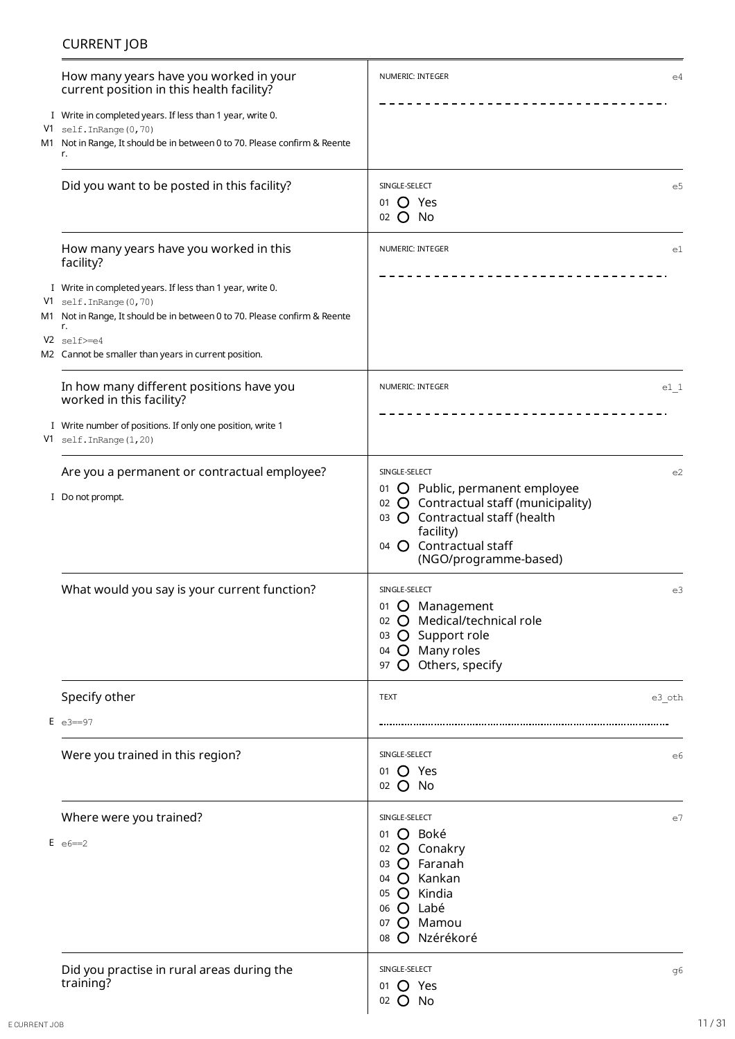# CURRENT JOB

| How many years have you worked in your<br>current position in this health facility?                                                                                     | NUMERIC: INTEGER                                                                                                                                                                            | e4     |
|-------------------------------------------------------------------------------------------------------------------------------------------------------------------------|---------------------------------------------------------------------------------------------------------------------------------------------------------------------------------------------|--------|
| I Write in completed years. If less than 1 year, write 0.                                                                                                               |                                                                                                                                                                                             |        |
| $V1$ self. In Range (0,70)<br>M1 Not in Range, It should be in between 0 to 70. Please confirm & Reente<br>r.                                                           |                                                                                                                                                                                             |        |
| Did you want to be posted in this facility?                                                                                                                             | SINGLE-SELECT<br>01 <b>O</b> Yes<br>02 O No                                                                                                                                                 | e5     |
| How many years have you worked in this<br>facility?                                                                                                                     | NUMERIC: INTEGER                                                                                                                                                                            | e1     |
| I Write in completed years. If less than 1 year, write 0.<br>V1 self. InRange (0,70)<br>M1 Not in Range, It should be in between 0 to 70. Please confirm & Reente<br>r. |                                                                                                                                                                                             |        |
| V2 self>=e4<br>M2 Cannot be smaller than years in current position.                                                                                                     |                                                                                                                                                                                             |        |
| In how many different positions have you<br>worked in this facility?                                                                                                    | NUMERIC: INTEGER                                                                                                                                                                            | e11    |
| I Write number of positions. If only one position, write 1<br>V1 self. InRange (1,20)                                                                                   |                                                                                                                                                                                             |        |
| Are you a permanent or contractual employee?<br>I Do not prompt.                                                                                                        | SINGLE-SELECT<br>01 O Public, permanent employee<br>02 O Contractual staff (municipality)<br>03 O Contractual staff (health<br>facility)<br>04 O Contractual staff<br>(NGO/programme-based) | e2     |
| What would you say is your current function?                                                                                                                            | SINGLE-SELECT<br>01 O Management<br>02 O Medical/technical role<br>03 O Support role<br>04 O Many roles<br>97 O Others, specify                                                             | e3     |
| Specify other                                                                                                                                                           | <b>TEXT</b>                                                                                                                                                                                 | e3 oth |
| $E = e3 == 97$                                                                                                                                                          |                                                                                                                                                                                             |        |
| Were you trained in this region?                                                                                                                                        | SINGLE-SELECT<br>01 $\bullet$ Yes<br>02 O No                                                                                                                                                | e6     |
| Where were you trained?                                                                                                                                                 | SINGLE-SELECT                                                                                                                                                                               | e7     |
| $E = 6 == 2$                                                                                                                                                            | 01 O Boké<br>02 O Conakry<br>03 O Faranah<br>04 O Kankan<br>05 O Kindia<br>06 O Labé<br>07 O Mamou<br>O Nzérékoré<br>08                                                                     |        |
| Did you practise in rural areas during the<br>training?                                                                                                                 | SINGLE-SELECT<br>01 O Yes<br>02 O No                                                                                                                                                        | g6     |

 $\overline{\phantom{a}}$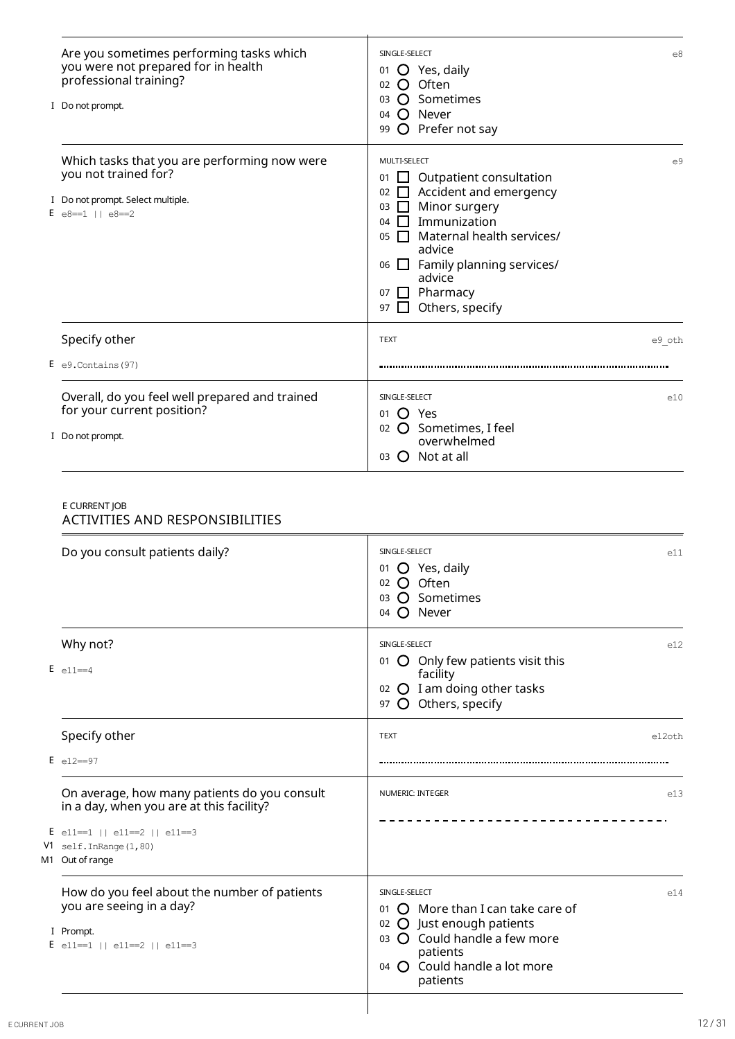| Are you sometimes performing tasks which<br>you were not prepared for in health<br>professional training?<br>I Do not prompt.        | SINGLE-SELECT<br>e8<br>O Yes, daily<br>01<br>Often<br>∩<br>02<br>Sometimes<br>O<br>03<br>Never<br>$\Omega$<br>04<br>O Prefer not say<br>99                                                                                                                                                               |
|--------------------------------------------------------------------------------------------------------------------------------------|----------------------------------------------------------------------------------------------------------------------------------------------------------------------------------------------------------------------------------------------------------------------------------------------------------|
| Which tasks that you are performing now were<br>you not trained for?<br>I Do not prompt. Select multiple.<br>E $e8 == 1$   $e8 == 2$ | MULTI-SELECT<br>e <sup>9</sup><br>Outpatient consultation<br>01<br>Accident and emergency<br>02<br>Minor surgery<br>03<br>Immunization<br>04<br>Maternal health services/<br>05<br>advice<br>$\Box$ Family planning services/<br>06<br>advice<br>Pharmacy<br>07<br>$\mathbf{I}$<br>Others, specify<br>97 |
| Specify other                                                                                                                        | <b>TEXT</b><br>e9 oth                                                                                                                                                                                                                                                                                    |
| $E$ e9. Contains (97)                                                                                                                |                                                                                                                                                                                                                                                                                                          |
| Overall, do you feel well prepared and trained<br>for your current position?<br>I Do not prompt.                                     | SINGLE-SELECT<br>e10<br>$\Omega$<br>Yes<br>01<br><b>O</b> Sometimes, I feel<br>02<br>overwhelmed<br>Not at all<br>$03$ ()                                                                                                                                                                                |

╅

# E CURRENT JOB ACTIVITIES AND RESPONSIBILITIES

| SINGLE-SELECT<br>e11<br>01 O Yes, daily<br>O Often<br>02 <sub>2</sub><br>O Sometimes<br>03<br>O Never<br>04                                                                                  |
|----------------------------------------------------------------------------------------------------------------------------------------------------------------------------------------------|
| SINGLE-SELECT<br>e12<br>01 $\bigcirc$ Only few patients visit this<br>facility<br>02 O I am doing other tasks<br>97 O Others, specify                                                        |
| <b>TEXT</b><br>e12oth                                                                                                                                                                        |
| NUMERIC: INTEGER<br>e13                                                                                                                                                                      |
| SINGLE-SELECT<br>e14<br>$O$ More than I can take care of<br>01<br>02 O Just enough patients<br>03 O Could handle a few more<br>patients<br>04 $\bigcirc$ Could handle a lot more<br>patients |
|                                                                                                                                                                                              |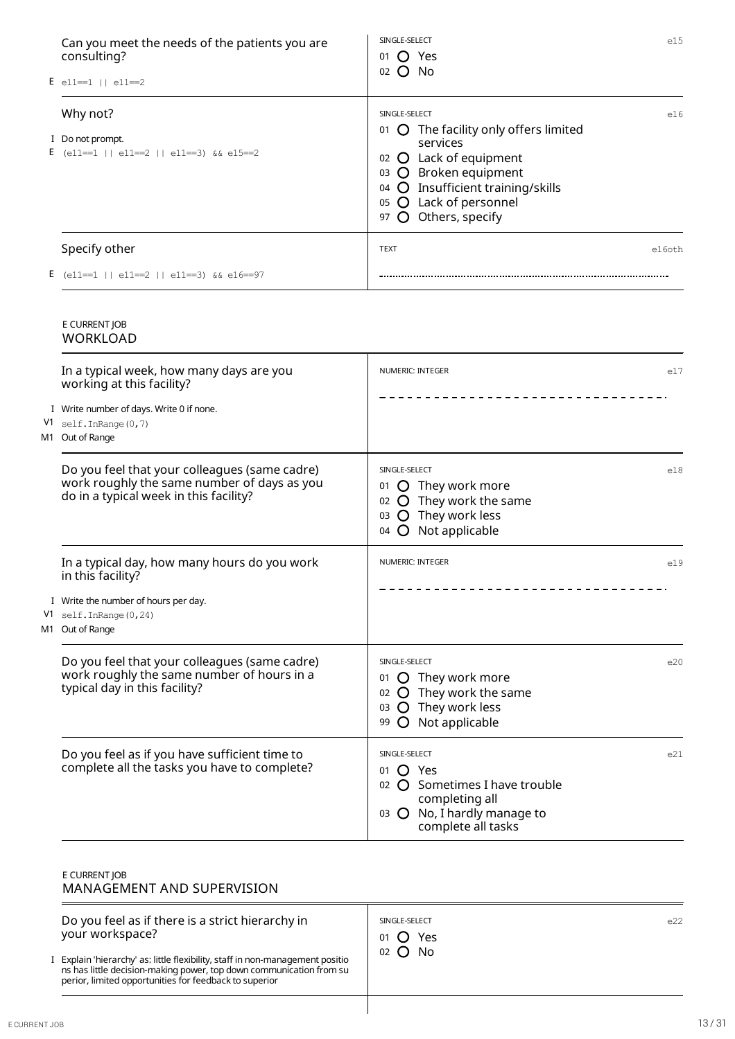| Can you meet the needs of the patients you are<br>consulting?<br>E $e11 == 1$   $e11 == 2$ | SINGLE-SELECT<br>e15<br>O Yes<br>01<br>No<br>02<br>$\left( \right)$                                                                                                                                                       |
|--------------------------------------------------------------------------------------------|---------------------------------------------------------------------------------------------------------------------------------------------------------------------------------------------------------------------------|
| Why not?<br>I Do not prompt.<br>E (e11==1    e11==2    e11==3) & a e15==2                  | SINGLE-SELECT<br>e16<br>01 O The facility only offers limited<br>services<br>02 O Lack of equipment<br>O Broken equipment<br>03<br>04 O Insufficient training/skills<br>O Lack of personnel<br>05<br>97 O Others, specify |
| Specify other                                                                              | <b>TEXT</b><br>e16oth                                                                                                                                                                                                     |
| E (e11==1    e11==2    e11==3) & & e16==97                                                 |                                                                                                                                                                                                                           |

#### E CURRENT JOB WORKLOAD

|  | In a typical week, how many days are you<br>working at this facility?<br>I Write number of days. Write 0 if none.<br>$V1$ self. In Range (0,7)              | NUMERIC: INTEGER                                                                                                                              | e17 |
|--|-------------------------------------------------------------------------------------------------------------------------------------------------------------|-----------------------------------------------------------------------------------------------------------------------------------------------|-----|
|  | M1 Out of Range                                                                                                                                             |                                                                                                                                               |     |
|  | Do you feel that your colleagues (same cadre)<br>work roughly the same number of days as you<br>do in a typical week in this facility?                      | SINGLE-SELECT<br>O They work more<br>01<br>They work the same<br>02<br>They work less<br>O<br>03<br>Not applicable<br>04                      | e18 |
|  | In a typical day, how many hours do you work<br>in this facility?<br>I Write the number of hours per day.<br>$V1$ self. In Range (0, 24)<br>M1 Out of Range | NUMERIC: INTEGER                                                                                                                              | e19 |
|  | Do you feel that your colleagues (same cadre)<br>work roughly the same number of hours in a<br>typical day in this facility?                                | SINGLE-SELECT<br>O They work more<br>01<br>O They work the same<br>02<br>O They work less<br>03<br>O Not applicable<br>99                     | e20 |
|  | Do you feel as if you have sufficient time to<br>complete all the tasks you have to complete?                                                               | SINGLE-SELECT<br>O Yes<br>01<br>02 O Sometimes I have trouble<br>completing all<br>03 $\bigcirc$ No, I hardly manage to<br>complete all tasks | e21 |

### E CURRENT JOB MANAGEMENT AND SUPERVISION

Do you feel as if there is a strict hierarchy in your workspace?

- Explain 'hierarchy' as: little flexibility, staff in non-management positio ns has little decision-making power, top down communication fromsu perior, limited opportunities for feedback to superior I
- SINGLE-SELECT e22
- 01 O Yes
- 02 **O** No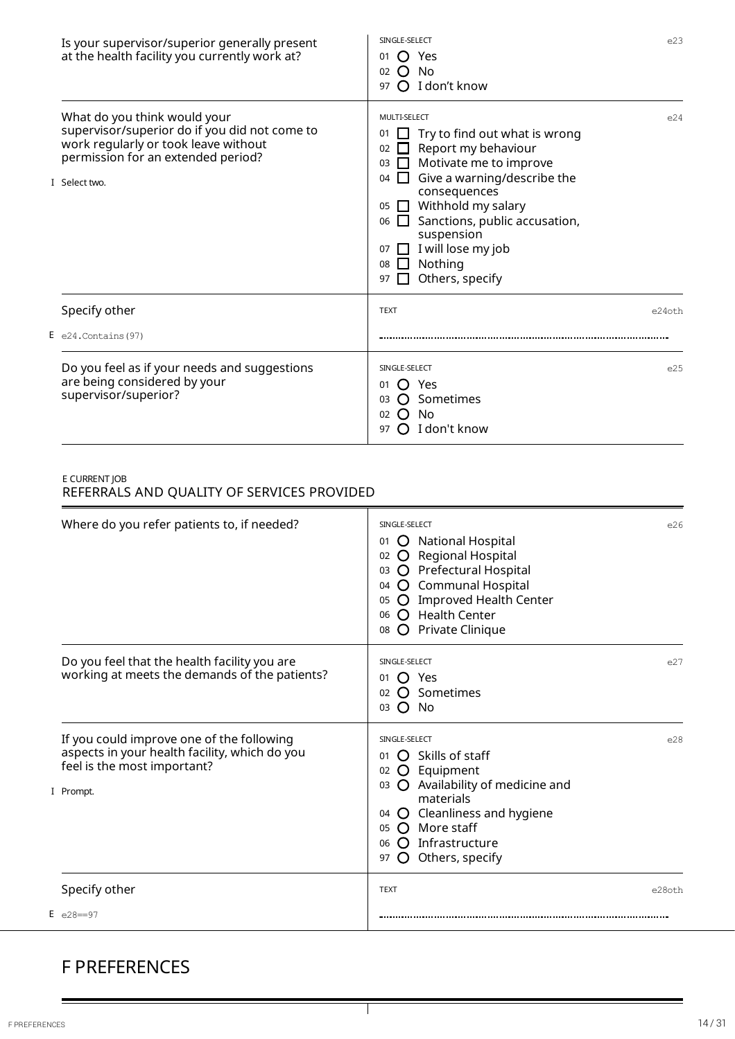| Is your supervisor/superior generally present<br>at the health facility you currently work at?                                                                               | SINGLE-SELECT<br>() Yes<br>01<br>No<br>02<br>$O$ I don't know<br>97                                                                                                                                                                                                                                                                                                              | e23       |
|------------------------------------------------------------------------------------------------------------------------------------------------------------------------------|----------------------------------------------------------------------------------------------------------------------------------------------------------------------------------------------------------------------------------------------------------------------------------------------------------------------------------------------------------------------------------|-----------|
| What do you think would your<br>supervisor/superior do if you did not come to<br>work regularly or took leave without<br>permission for an extended period?<br>I Select two. | MULTI-SELECT<br>Try to find out what is wrong<br>l I<br>01<br>Report my behaviour<br>02<br>Motivate me to improve<br>03<br>$\Box$ Give a warning/describe the<br>04<br>consequences<br>$\blacksquare$ Withhold my salary<br>05<br>Sanctions, public accusation,<br>06<br>$\mathbf{I}$<br>suspension<br>I will lose my job<br>07<br>Nothing<br>08<br>l l<br>Others, specify<br>97 | $e^{2.4}$ |
| Specify other                                                                                                                                                                | <b>TEXT</b><br>$e24$ oth                                                                                                                                                                                                                                                                                                                                                         |           |
| E<br>e24. Contains (97)                                                                                                                                                      |                                                                                                                                                                                                                                                                                                                                                                                  |           |
| Do you feel as if your needs and suggestions<br>are being considered by your<br>supervisor/superior?                                                                         | SINGLE-SELECT<br>O Yes<br>01<br>Sometimes<br>03<br>0<br>No<br>02<br>I don't know<br>97                                                                                                                                                                                                                                                                                           | e25       |

# E CURRENT JOB

# REFERRALS AND QUALITY OF SERVICES PROVIDED

| Where do you refer patients to, if needed?                                                                                             | SINGLE-SELECT<br>e26<br>National Hospital<br>O<br>01<br>Regional Hospital<br>O<br>02<br>O Prefectural Hospital<br>03<br>O Communal Hospital<br>04<br>O Improved Health Center<br>05<br>O Health Center<br>06<br>Private Clinique<br>O<br>08                                                    |
|----------------------------------------------------------------------------------------------------------------------------------------|------------------------------------------------------------------------------------------------------------------------------------------------------------------------------------------------------------------------------------------------------------------------------------------------|
| Do you feel that the health facility you are<br>working at meets the demands of the patients?                                          | SINGLE-SELECT<br>e27<br>$\Omega$<br>Yes<br>01<br>O Sometimes<br>02<br>No<br>$\Omega$<br>03                                                                                                                                                                                                     |
| If you could improve one of the following<br>aspects in your health facility, which do you<br>feel is the most important?<br>I Prompt. | SINGLE-SELECT<br>e28<br>$\Omega$ Skills of staff<br>01<br>Equipment<br>$\Omega$<br>02<br>O Availability of medicine and<br>03<br>materials<br>O Cleanliness and hygiene<br>04<br>$O$ More staff<br>05<br>Infrastructure<br>$\left( \right)$<br>06<br>Others, specify<br>97<br>$\left( \right)$ |
| Specify other                                                                                                                          | <b>TEXT</b><br>e28oth                                                                                                                                                                                                                                                                          |
| $E$ e28==97                                                                                                                            |                                                                                                                                                                                                                                                                                                |

 $\top$ 

# <span id="page-13-0"></span>F PREFERENCES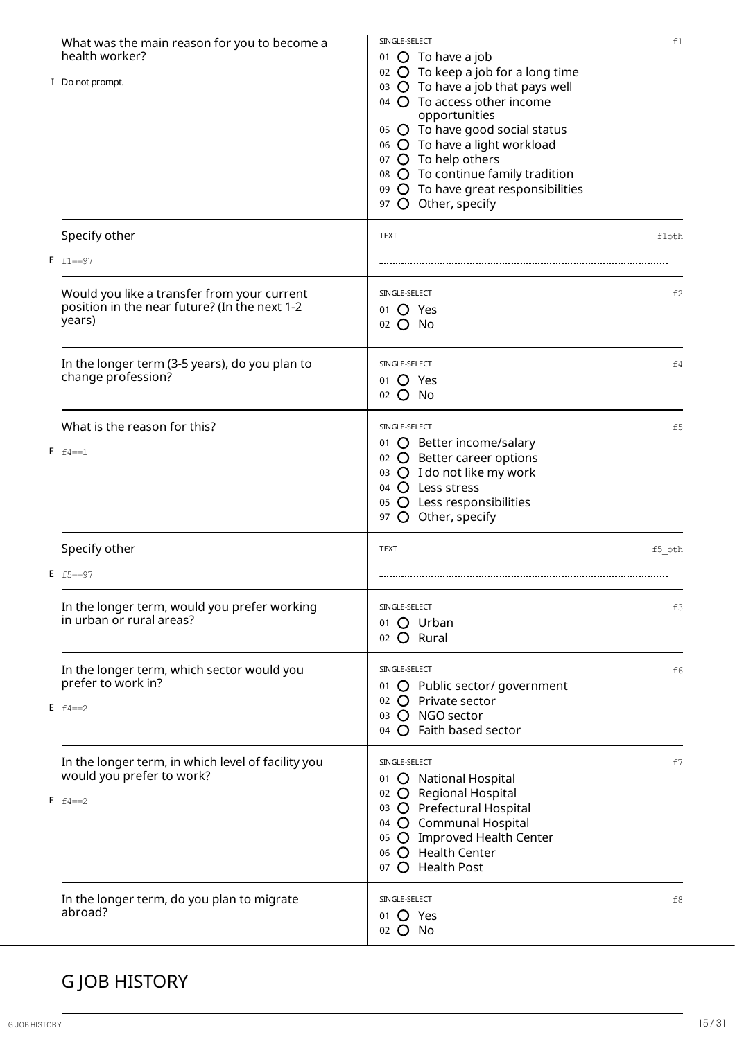| What was the main reason for you to become a<br>health worker?<br>I Do not prompt.                     | SINGLE-SELECT<br>01 $\bigcirc$ To have a job<br>02 $\bigcirc$ To keep a job for a long time<br>O To have a job that pays well<br>03<br>04 O To access other income<br>opportunities<br>05 $\bigcirc$ To have good social status<br>06 O To have a light workload<br>07 O To help others<br>O To continue family tradition<br>08<br>O To have great responsibilities<br>09<br>O Other, specify<br>97 | f1     |
|--------------------------------------------------------------------------------------------------------|-----------------------------------------------------------------------------------------------------------------------------------------------------------------------------------------------------------------------------------------------------------------------------------------------------------------------------------------------------------------------------------------------------|--------|
| Specify other                                                                                          | <b>TEXT</b>                                                                                                                                                                                                                                                                                                                                                                                         | f1oth  |
| $E f1 = -97$                                                                                           |                                                                                                                                                                                                                                                                                                                                                                                                     |        |
| Would you like a transfer from your current<br>position in the near future? (In the next 1-2<br>years) | SINGLE-SELECT<br>01 O Yes<br>02 O No                                                                                                                                                                                                                                                                                                                                                                | f2     |
| In the longer term (3-5 years), do you plan to<br>change profession?                                   | SINGLE-SELECT<br>01 <b>O</b> Yes<br>$02$ O No                                                                                                                                                                                                                                                                                                                                                       | f4     |
| What is the reason for this?<br>$E$ f <sub>4==1</sub>                                                  | SINGLE-SELECT<br>01 O Better income/salary<br>02 O Better career options<br>03 O I do not like my work<br>04 O Less stress<br>O Less responsibilities<br>05<br>97 O Other, specify                                                                                                                                                                                                                  | f5     |
| Specify other                                                                                          | <b>TEXT</b>                                                                                                                                                                                                                                                                                                                                                                                         | f5 oth |
| $E$ f <sub>5</sub> ==97                                                                                |                                                                                                                                                                                                                                                                                                                                                                                                     |        |
| In the longer term, would you prefer working<br>in urban or rural areas?                               | SINGLE-SELECT<br>01 O Urban<br>02 O Rural                                                                                                                                                                                                                                                                                                                                                           | f3     |
| In the longer term, which sector would you<br>prefer to work in?                                       | SINGLE-SELECT<br>01 O Public sector/ government<br>O Private sector<br>02                                                                                                                                                                                                                                                                                                                           | f6     |
| $E f4 = -2$                                                                                            | O NGO sector<br>03<br>O Faith based sector<br>04                                                                                                                                                                                                                                                                                                                                                    |        |
| In the longer term, in which level of facility you<br>would you prefer to work?<br>$E f4 = -2$         | SINGLE-SELECT<br>01 O National Hospital<br>02 O Regional Hospital<br>O Prefectural Hospital<br>03<br>O Communal Hospital<br>04<br>O Improved Health Center<br>05<br>O Health Center<br>06<br>07 O Health Post                                                                                                                                                                                       | f7     |
| In the longer term, do you plan to migrate<br>abroad?                                                  | SINGLE-SELECT<br>O Yes<br>01<br>02 O No                                                                                                                                                                                                                                                                                                                                                             | f8     |

# G JOB HISTORY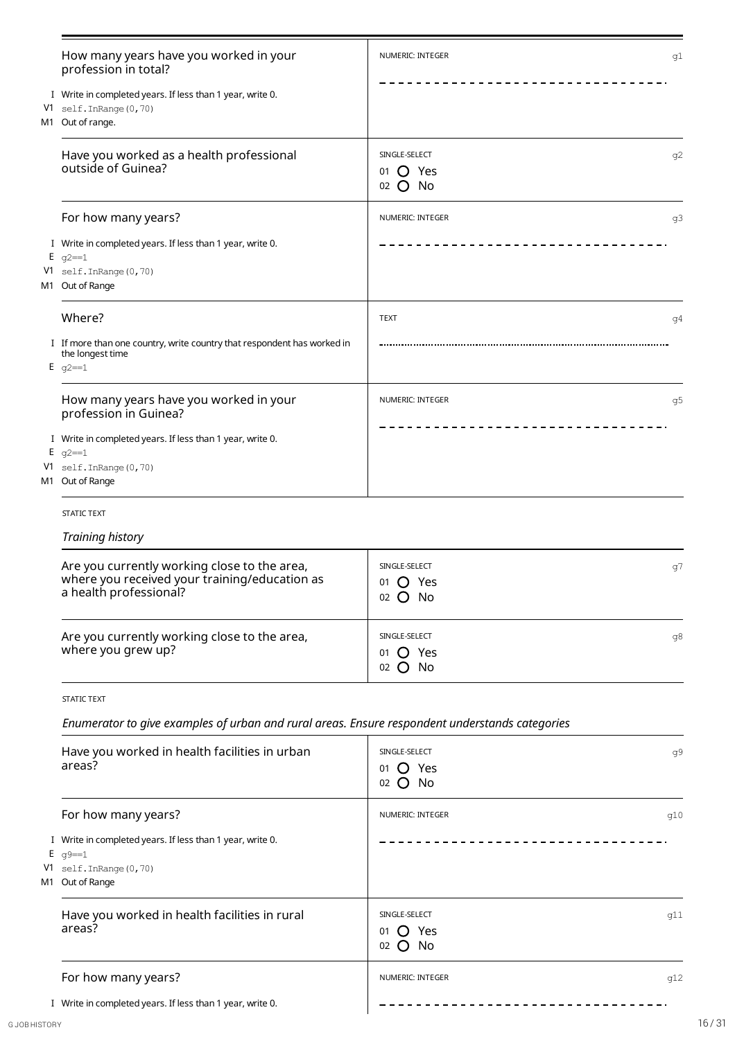|    | How many years have you worked in your<br>profession in total?                                                            | NUMERIC: INTEGER                            | g1  |  |  |
|----|---------------------------------------------------------------------------------------------------------------------------|---------------------------------------------|-----|--|--|
|    | I Write in completed years. If less than 1 year, write 0.<br>$V1$ self. In Range (0,70)<br>M1 Out of range.               |                                             |     |  |  |
|    | Have you worked as a health professional<br>outside of Guinea?                                                            | SINGLE-SELECT<br>01 <b>O</b> Yes<br>02 O No | g2  |  |  |
|    | For how many years?                                                                                                       | NUMERIC: INTEGER                            | q3  |  |  |
|    | I Write in completed years. If less than 1 year, write 0.<br>$E_{q2==1}$<br>V1 self. InRange (0,70)<br>M1 Out of Range    |                                             |     |  |  |
|    | Where?                                                                                                                    | <b>TEXT</b>                                 | q4  |  |  |
|    | I If more than one country, write country that respondent has worked in<br>the longest time<br>$E$ q2==1                  |                                             |     |  |  |
|    | How many years have you worked in your<br>profession in Guinea?                                                           | NUMERIC: INTEGER                            | q5  |  |  |
| V1 | I Write in completed years. If less than 1 year, write 0.<br>$E \quad q2 == 1$<br>self. InRange (0,70)<br>M1 Out of Range |                                             |     |  |  |
|    | <b>STATIC TEXT</b>                                                                                                        |                                             |     |  |  |
|    | <b>Training history</b>                                                                                                   |                                             |     |  |  |
|    | Are you currently working close to the area,<br>where you received your training/education as<br>a health professional?   | SINGLE-SELECT<br>01 O Yes<br>02 O No        | g7  |  |  |
|    | Are you currently working close to the area,<br>where you grew up?                                                        | SINGLE-SELECT<br>01 O Yes<br>02 O No        | g8  |  |  |
|    | <b>STATIC TEXT</b>                                                                                                        |                                             |     |  |  |
|    | Enumerator to give examples of urban and rural areas. Ensure respondent understands categories                            |                                             |     |  |  |
|    | Have you worked in health facilities in urban<br>areas?                                                                   | SINGLE-SELECT<br>01 <b>O</b> Yes<br>02 O No | g9  |  |  |
|    | For how many years?                                                                                                       | NUMERIC: INTEGER                            | q10 |  |  |
|    | I Write in completed years. If less than 1 year, write 0.<br>$E$ q9==1<br>$V1$ self. InRange $(0, 70)$<br>M1 Out of Range |                                             |     |  |  |
|    | Have you worked in health facilities in rural<br>areas?                                                                   | SINGLE-SELECT<br>01 O Yes                   | q11 |  |  |

For how many years?

NUMERIC: INTEGER g12

No

02

- -

-----------------------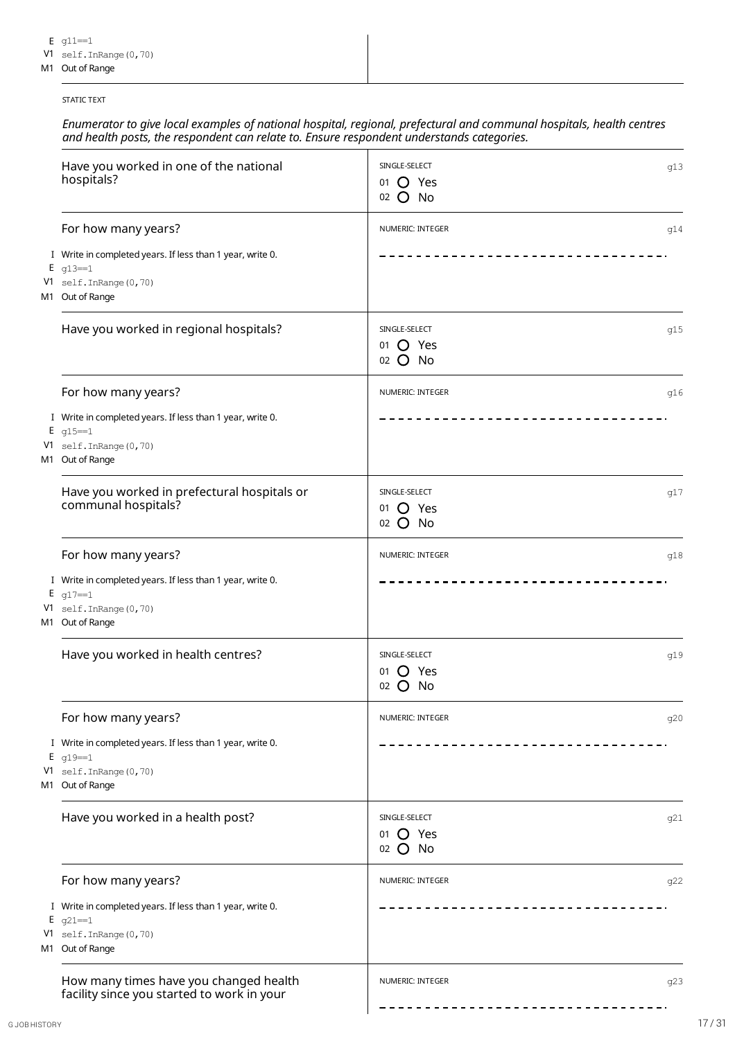- V1 self.InRange(0,70)
- M1 Out of Range

*Enumerator to give localexamples of national hospital, regional, prefectural and communal hospitals, health centres and health posts, the respondent can relate to.Ensure respondent understands categories.*

|    | Have you worked in one of the national<br>hospitals?                                                                   | SINGLE-SELECT<br>01 O Yes<br>02 O No           | q13 |
|----|------------------------------------------------------------------------------------------------------------------------|------------------------------------------------|-----|
|    | For how many years?                                                                                                    | NUMERIC: INTEGER                               | g14 |
|    | I Write in completed years. If less than 1 year, write 0.<br>$E_{q13 == 1}$                                            |                                                |     |
|    | V1 self. InRange (0,70)<br>M1 Out of Range                                                                             |                                                |     |
|    | Have you worked in regional hospitals?                                                                                 | SINGLE-SELECT<br>01 <b>O</b> Yes<br>02 O No    | g15 |
|    | For how many years?                                                                                                    | NUMERIC: INTEGER                               | q16 |
|    | I Write in completed years. If less than 1 year, write 0.<br>$E_{q15 == 1}$                                            |                                                |     |
|    | $V1$ self. In Range (0,70)<br>M1 Out of Range                                                                          |                                                |     |
|    | Have you worked in prefectural hospitals or<br>communal hospitals?                                                     | SINGLE-SELECT<br>01 <b>O</b> Yes<br>02 O No    | g17 |
|    | For how many years?                                                                                                    | NUMERIC: INTEGER                               | q18 |
|    | I Write in completed years. If less than 1 year, write 0.<br>$E$ q17==1                                                |                                                |     |
| V1 | self. InRange (0,70)<br>M1 Out of Range                                                                                |                                                |     |
|    | Have you worked in health centres?                                                                                     | SINGLE-SELECT<br>01 $\bullet$ Yes<br>$02$ O No | q19 |
|    | For how many years?                                                                                                    | NUMERIC: INTEGER                               | q20 |
| V1 | I Write in completed years. If less than 1 year, write 0.<br>$E$ g19==1<br>self. InRange (0,70)<br>M1 Out of Range     |                                                |     |
|    | Have you worked in a health post?                                                                                      | SINGLE-SELECT<br>$O$ Yes<br>01<br>$O$ No<br>02 | q21 |
|    | For how many years?                                                                                                    | NUMERIC: INTEGER                               | q22 |
| V1 | I Write in completed years. If less than 1 year, write 0.<br>$E_{q21} == 1$<br>self. InRange (0,70)<br>M1 Out of Range |                                                |     |
|    | How many times have you changed health<br>facility since you started to work in your                                   | NUMERIC: INTEGER                               | g23 |
|    |                                                                                                                        |                                                |     |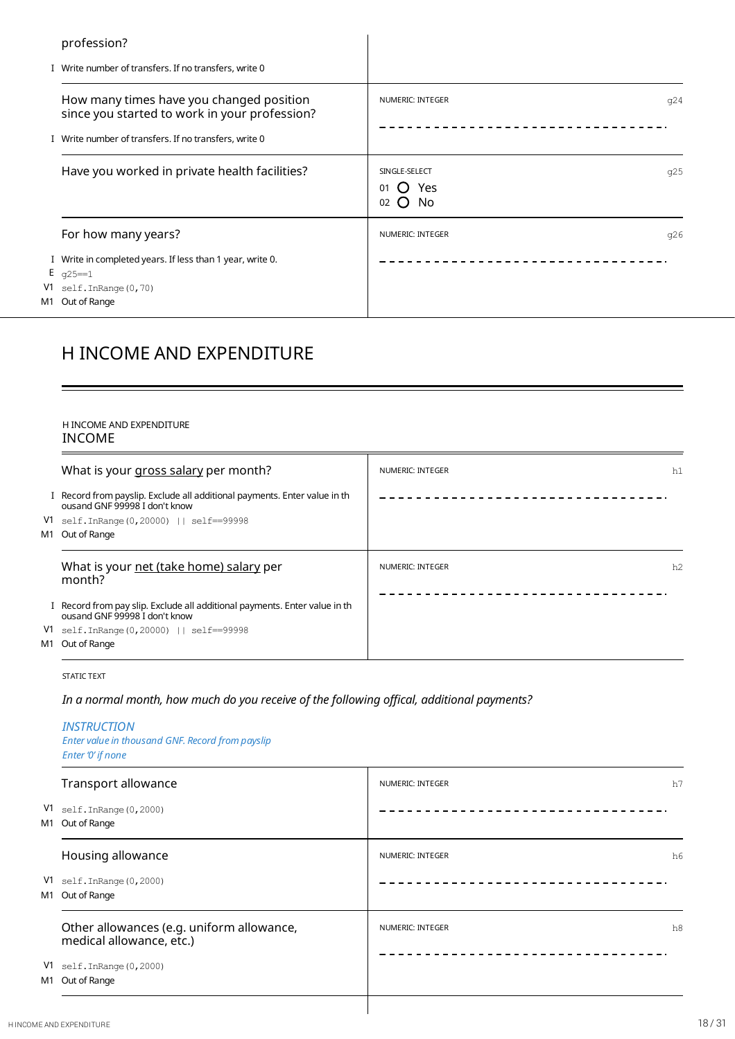|    | profession?                                                                                                                                      |                                                                         |
|----|--------------------------------------------------------------------------------------------------------------------------------------------------|-------------------------------------------------------------------------|
|    | I Write number of transfers. If no transfers, write 0                                                                                            |                                                                         |
|    | How many times have you changed position<br>since you started to work in your profession?<br>Write number of transfers. If no transfers, write 0 | <b>NUMERIC: INTEGER</b><br>q24                                          |
|    | Have you worked in private health facilities?                                                                                                    | SINGLE-SELECT<br>q25<br>Yes<br>01<br>$\mathbf{O}$<br>No<br>02<br>$\cup$ |
|    | For how many years?                                                                                                                              | NUMERIC: INTEGER<br>q26                                                 |
|    | Write in completed years. If less than 1 year, write 0.                                                                                          |                                                                         |
|    | $E_{q25 == 1}$                                                                                                                                   |                                                                         |
| V1 | self. InRange (0,70)                                                                                                                             |                                                                         |
|    | M1 Out of Range                                                                                                                                  |                                                                         |

# <span id="page-17-0"></span>H INCOME AND EXPENDITURE

### H INCOME AND EXPENDITURE INCOME

| What is your gross salary per month?                                                                                                                                            | NUMERIC: INTEGER<br>h1 |  |
|---------------------------------------------------------------------------------------------------------------------------------------------------------------------------------|------------------------|--|
| I Record from payslip. Exclude all additional payments. Enter value in the<br>ousand GNF 99998 I don't know<br>$V1$ self. In Range (0, 20000)    self==99998<br>M1 Out of Range |                        |  |
| What is your net (take home) salary per<br>month?                                                                                                                               | NUMERIC: INTEGER<br>h2 |  |
| I Record from pay slip. Exclude all additional payments. Enter value in the<br>ousand GNF 99998 I don't know                                                                    |                        |  |
| $V1$ self. In Range (0, 20000)    self==99998                                                                                                                                   |                        |  |
| M1 Out of Range                                                                                                                                                                 |                        |  |

#### STATIC TEXT

*In a normal month, how much do you receive of the following offical, additional payments?*

### *INSTRUCTION*

*Entervaluein thousand GNF. Record frompayslip Enter '0' if none*

|          | Transport allowance                                                   | NUMERIC: INTEGER<br>h7             |  |
|----------|-----------------------------------------------------------------------|------------------------------------|--|
| M1       | $V1$ self. In Range $(0, 2000)$<br>Out of Range                       |                                    |  |
|          | Housing allowance                                                     | h <sub>6</sub><br>NUMERIC: INTEGER |  |
| V1<br>M1 | self.InRange(0,2000)<br>Out of Range                                  |                                    |  |
|          | Other allowances (e.g. uniform allowance,<br>medical allowance, etc.) | NUMERIC: INTEGER<br>h8             |  |
|          | $V1$ self. In Range $(0, 2000)$                                       |                                    |  |
|          | M1 Out of Range                                                       |                                    |  |
|          |                                                                       |                                    |  |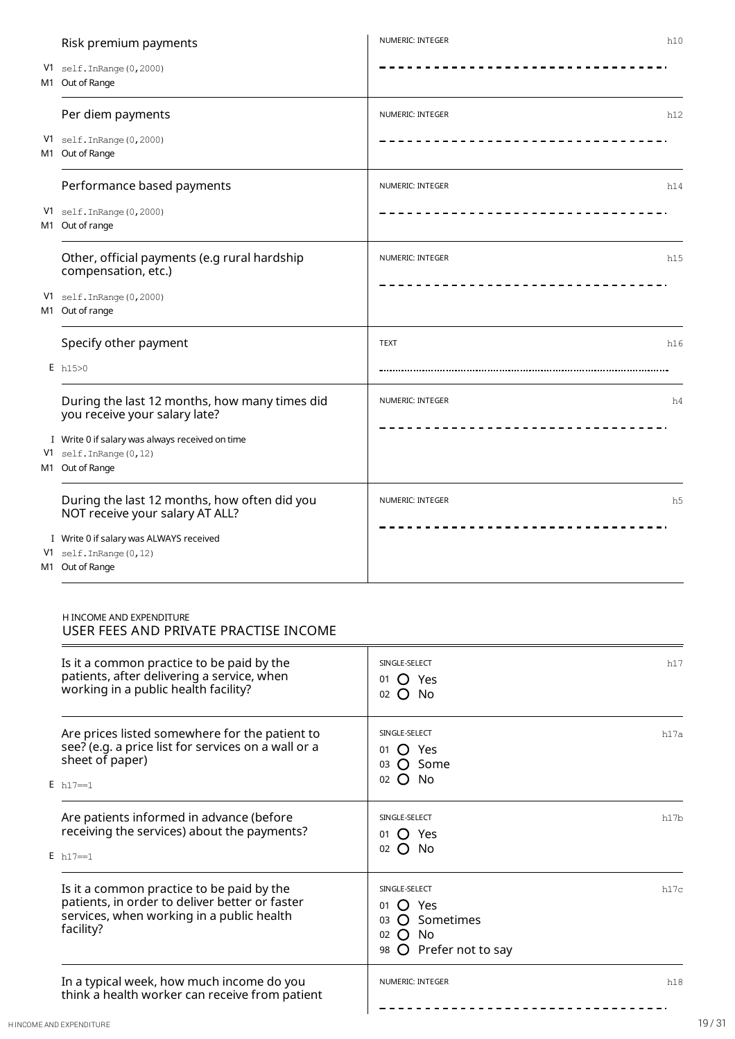|          | Risk premium payments                                                                      | NUMERIC: INTEGER | h10            |
|----------|--------------------------------------------------------------------------------------------|------------------|----------------|
| V1<br>M1 | self. InRange (0,2000)<br>Out of Range                                                     |                  |                |
|          | Per diem payments                                                                          | NUMERIC: INTEGER | h12            |
| V1<br>M1 | self.InRange(0,2000)<br>Out of Range                                                       |                  |                |
|          | Performance based payments                                                                 | NUMERIC: INTEGER | h14            |
| V1<br>M1 | self. InRange (0,2000)<br>Out of range                                                     |                  |                |
|          | Other, official payments (e.g rural hardship<br>compensation, etc.)                        | NUMERIC: INTEGER | h15            |
| V1       | self.InRange(0,2000)<br>M1 Out of range                                                    |                  |                |
|          | Specify other payment                                                                      | <b>TEXT</b>      | h16            |
|          | E h15>0                                                                                    |                  |                |
|          | During the last 12 months, how many times did<br>you receive your salary late?             | NUMERIC: INTEGER | h4             |
| V1       | I Write 0 if salary was always received on time<br>self. InRange (0,12)<br>M1 Out of Range |                  |                |
|          | During the last 12 months, how often did you<br>NOT receive your salary AT ALL?            | NUMERIC: INTEGER | h <sub>5</sub> |
| V1       | I Write 0 if salary was ALWAYS received<br>self. InRange (0,12)<br>M1 Out of Range         |                  |                |

### H INCOME AND EXPENDITURE USER FEES AND PRIVATE PRACTISE INCOME

| Is it a common practice to be paid by the<br>patients, after delivering a service, when<br>working in a public health facility?                       | SINGLE-SELECT<br>h17<br>$O$ Yes<br>01<br>$O$ No<br>02                                                                                 |
|-------------------------------------------------------------------------------------------------------------------------------------------------------|---------------------------------------------------------------------------------------------------------------------------------------|
| Are prices listed somewhere for the patient to<br>see? (e.g. a price list for services on a wall or a<br>sheet of paper)<br>$E h17 == 1$              | SINGLE-SELECT<br>h17a<br>$O$ Yes<br>01<br>O Some<br>03<br>$O$ No<br>02                                                                |
| Are patients informed in advance (before<br>receiving the services) about the payments?<br>$E_{h17 == 1}$                                             | SINGLE-SELECT<br>h17b<br>$O$ Yes<br>01<br>02<br>$O$ No                                                                                |
| Is it a common practice to be paid by the<br>patients, in order to deliver better or faster<br>services, when working in a public health<br>facility? | SINGLE-SELECT<br>h17c<br>(C) Yes<br>01<br><b>O</b> Sometimes<br>03<br>No<br>$\lambda$<br>02<br>$\overline{O}$ Prefer not to say<br>98 |
| In a typical week, how much income do you<br>think a health worker can receive from patient                                                           | <b>NUMERIC: INTEGER</b><br>h18                                                                                                        |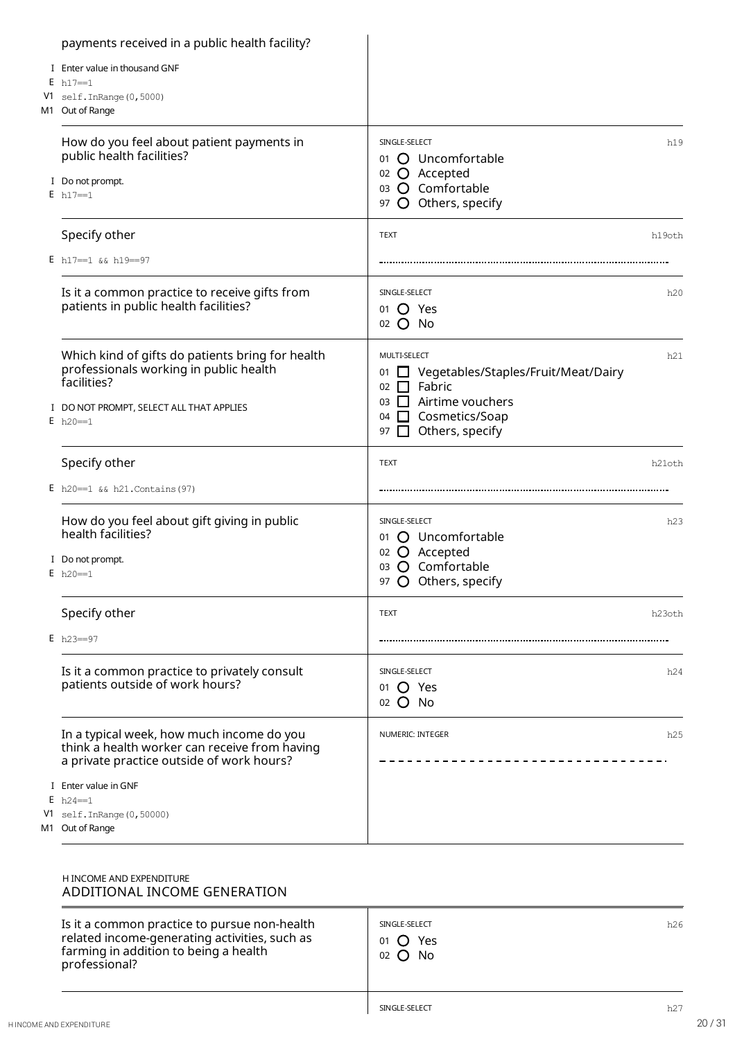|  | payments received in a public health facility?                                             |                                                 |
|--|--------------------------------------------------------------------------------------------|-------------------------------------------------|
|  | I Enter value in thousand GNF                                                              |                                                 |
|  | $E_{h17==1}$<br>$V1$ self. In Range (0,5000)                                               |                                                 |
|  | M1 Out of Range                                                                            |                                                 |
|  | How do you feel about patient payments in                                                  | SINGLE-SELECT<br>h19                            |
|  | public health facilities?                                                                  | 01 O Uncomfortable                              |
|  | I Do not prompt.                                                                           | 02 O Accepted<br>03 O Comfortable               |
|  | $E h17 == 1$                                                                               | 97 O Others, specify                            |
|  | Specify other                                                                              | <b>TEXT</b><br>h19oth                           |
|  | E $h17 == 1$ & a $h19 == 97$                                                               |                                                 |
|  | Is it a common practice to receive gifts from                                              | SINGLE-SELECT<br>h20                            |
|  | patients in public health facilities?                                                      | 01 O Yes                                        |
|  |                                                                                            | $02$ O No                                       |
|  | Which kind of gifts do patients bring for health                                           | MULTI-SELECT<br>h21                             |
|  | professionals working in public health<br>facilities?                                      | Vegetables/Staples/Fruit/Meat/Dairy<br>01       |
|  |                                                                                            | $\Box$ Fabric<br>02<br>Airtime vouchers<br>$03$ |
|  | I DO NOT PROMPT, SELECT ALL THAT APPLIES<br>$E h20 == 1$                                   | 04 Cosmetics/Soap                               |
|  |                                                                                            | Others, specify<br>$\mathbf{I}$<br>97           |
|  | Specify other                                                                              | <b>TEXT</b><br>h21oth                           |
|  | E $h20 == 1$ & $h21$ . Contains (97)                                                       |                                                 |
|  | How do you feel about gift giving in public                                                | SINGLE-SELECT<br>h23                            |
|  | health facilities?                                                                         | O Uncomfortable<br>01                           |
|  | I Do not prompt.                                                                           | 02 O Accepted<br>03 O Comfortable               |
|  | $E h20 == 1$                                                                               | 97 O Others, specify                            |
|  | Specify other                                                                              | <b>TEXT</b><br>h23oth                           |
|  | $E h23 = -97$                                                                              |                                                 |
|  |                                                                                            |                                                 |
|  | Is it a common practice to privately consult<br>patients outside of work hours?            | SINGLE-SELECT<br>h24<br>01 $\bigcirc$ Yes       |
|  |                                                                                            | 02 O No                                         |
|  | In a typical week, how much income do you                                                  | NUMERIC: INTEGER<br>h25                         |
|  | think a health worker can receive from having<br>a private practice outside of work hours? |                                                 |
|  | I Enter value in GNF                                                                       |                                                 |
|  | $E h24 = -1$<br>$V1$ self. In Range (0, 50000)                                             |                                                 |
|  | M1 Out of Range                                                                            |                                                 |
|  |                                                                                            |                                                 |
|  | H INCOME AND EXPENDITURE                                                                   |                                                 |
|  | ADDITIONAL INCOME GENERATION                                                               |                                                 |

| Is it a common practice to pursue non-health  |
|-----------------------------------------------|
| related income-generating activities, such as |
| farming in addition to being a health         |
| professional?                                 |

01 02

H INCOME AND EXPENDITURE 20 / 31

Yes No

SINGLE-SELECT h<sub>26</sub>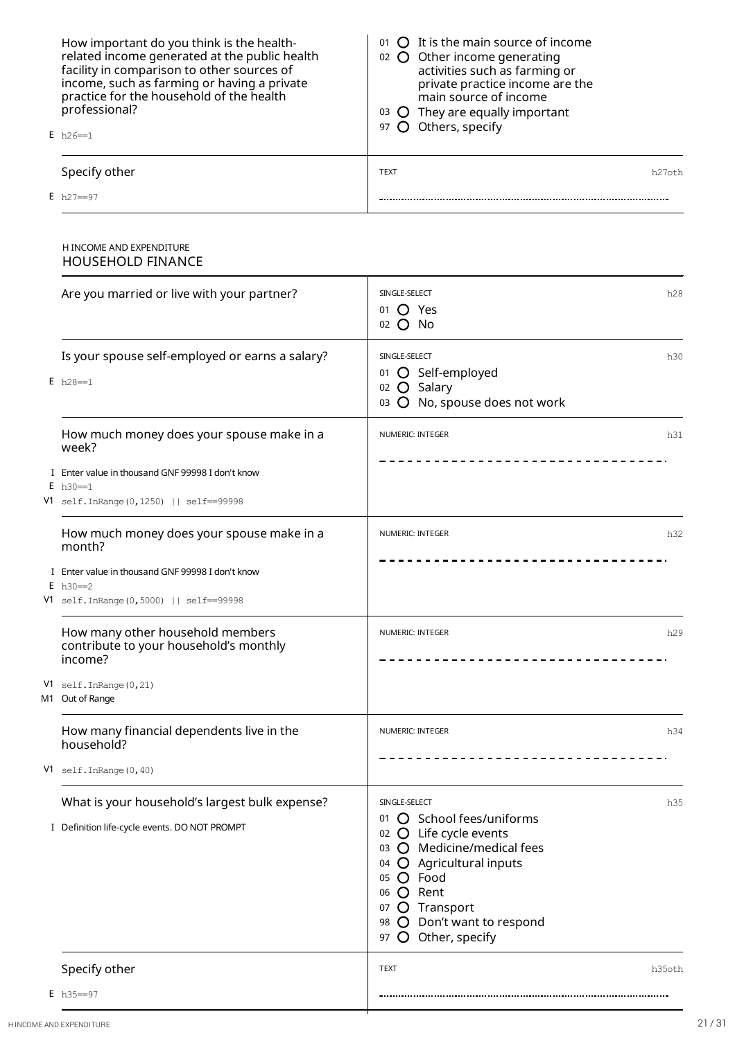|    | How important do you think is the health-<br>related income generated at the public health<br>facility in comparison to other sources of<br>income, such as farming or having a private<br>practice for the household of the health<br>professional?<br>$E h26 == 1$ | 01 O It is the main source of income<br>02 O Other income generating<br>activities such as farming or<br>private practice income are the<br>main source of income<br>03 $\bigcirc$ They are equally important<br>97 O Others, specify |
|----|----------------------------------------------------------------------------------------------------------------------------------------------------------------------------------------------------------------------------------------------------------------------|---------------------------------------------------------------------------------------------------------------------------------------------------------------------------------------------------------------------------------------|
|    | Specify other                                                                                                                                                                                                                                                        | <b>TEXT</b><br>h27oth                                                                                                                                                                                                                 |
|    | $E h27 = -97$                                                                                                                                                                                                                                                        |                                                                                                                                                                                                                                       |
|    | H INCOME AND EXPENDITURE<br><b>HOUSEHOLD FINANCE</b>                                                                                                                                                                                                                 |                                                                                                                                                                                                                                       |
|    | Are you married or live with your partner?                                                                                                                                                                                                                           | SINGLE-SELECT<br>h28<br>01 <b>O</b> Yes<br>$02$ O No                                                                                                                                                                                  |
|    | Is your spouse self-employed or earns a salary?<br>$E h28 == 1$                                                                                                                                                                                                      | SINGLE-SELECT<br>h30<br>01 O Self-employed<br>02 O Salary<br>O No, spouse does not work<br>03                                                                                                                                         |
|    | How much money does your spouse make in a<br>week?<br>I Enter value in thousand GNF 99998 I don't know<br>$E_{h30==1}$<br>$V1$ self.InRange(0,1250)    self==99998                                                                                                   | NUMERIC: INTEGER<br>h31                                                                                                                                                                                                               |
|    | How much money does your spouse make in a<br>month?<br>I Enter value in thousand GNF 99998 I don't know<br>$E h30 == 2$<br>V1 self. InRange (0,5000)     self==99998                                                                                                 | NUMERIC: INTEGER<br>h32                                                                                                                                                                                                               |
|    | How many other household members<br>contribute to your household's monthly<br>income?                                                                                                                                                                                | NUMERIC: INTEGER<br>h29                                                                                                                                                                                                               |
| V1 | self. InRange (0,21)<br>M1 Out of Range                                                                                                                                                                                                                              |                                                                                                                                                                                                                                       |

|  | $V1$ salf InRange (0.40) |  |
|--|--------------------------|--|

household?

How many financial dependents live in the

| $V1$ self. In Range $(0, 40)$                                                                   |                                                                                                                                                                                                                                                                                 |
|-------------------------------------------------------------------------------------------------|---------------------------------------------------------------------------------------------------------------------------------------------------------------------------------------------------------------------------------------------------------------------------------|
| What is your household's largest bulk expense?<br>I Definition life-cycle events. DO NOT PROMPT | SINGLE-SELECT<br>h35<br>O School fees/uniforms<br>01<br>02 O Life cycle events<br>O Medicine/medical fees<br>03<br><b>O</b> Agricultural inputs<br>04<br>Food<br>05<br>$\Omega$<br>O Rent<br>06<br>O Transport<br>07<br>O Don't want to respond<br>98<br>O Other, specify<br>97 |
| Specify other                                                                                   | <b>TEXT</b><br>h35oth                                                                                                                                                                                                                                                           |
| $E h35 = -97$                                                                                   |                                                                                                                                                                                                                                                                                 |

NUMERIC: INTEGER h34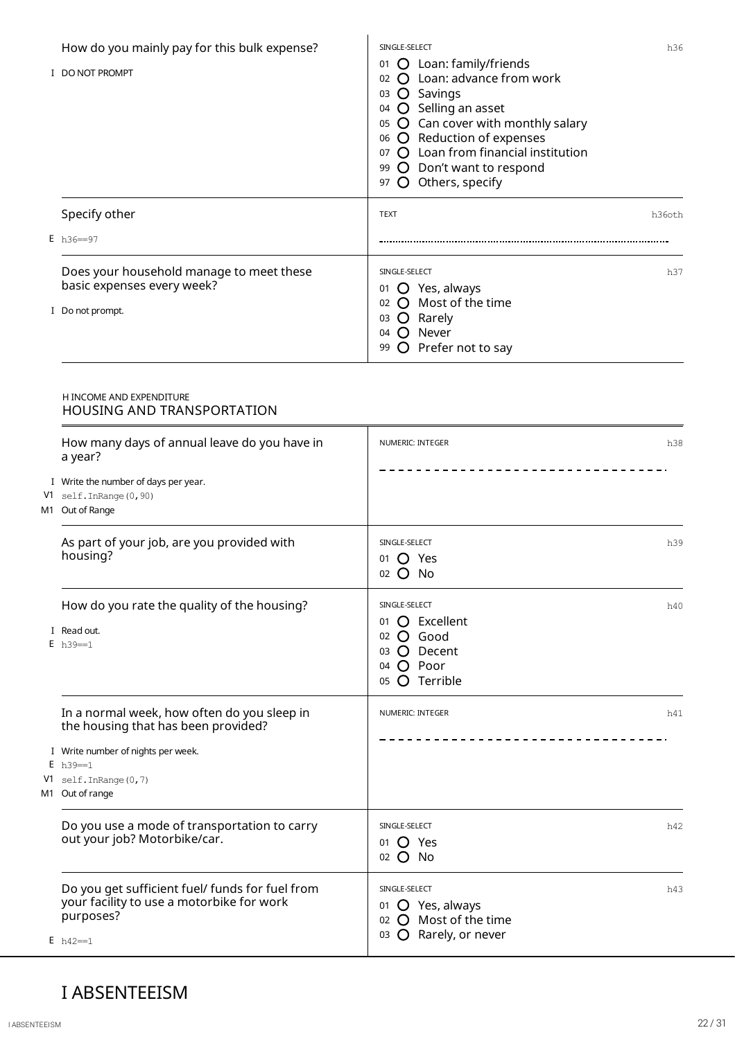| How do you mainly pay for this bulk expense?<br>I DO NOT PROMPT                                                                                                                         | SINGLE-SELECT<br>01 O Loan: family/friends<br>02 O Loan: advance from work<br>03 O Savings<br>04 O Selling an asset<br>O Can cover with monthly salary<br>05<br>06 O Reduction of expenses<br>07 O Loan from financial institution<br>99 O Don't want to respond<br>97 O Others, specify | h36    |
|-----------------------------------------------------------------------------------------------------------------------------------------------------------------------------------------|------------------------------------------------------------------------------------------------------------------------------------------------------------------------------------------------------------------------------------------------------------------------------------------|--------|
| Specify other                                                                                                                                                                           | <b>TEXT</b>                                                                                                                                                                                                                                                                              | h36oth |
| $E h36 = -97$                                                                                                                                                                           |                                                                                                                                                                                                                                                                                          |        |
| Does your household manage to meet these<br>basic expenses every week?<br>I Do not prompt.                                                                                              | SINGLE-SELECT<br>01 O Yes, always<br>O Most of the time<br>02<br>03 O Rarely<br>O Never<br>04<br>O Prefer not to say<br>99                                                                                                                                                               | h37    |
| H INCOME AND EXPENDITURE<br><b>HOUSING AND TRANSPORTATION</b>                                                                                                                           |                                                                                                                                                                                                                                                                                          |        |
| How many days of annual leave do you have in<br>a year?<br>I Write the number of days per year.<br>$V1$ self. In Range $(0, 90)$<br>M1 Out of Range                                     | NUMERIC: INTEGER                                                                                                                                                                                                                                                                         | h38    |
| As part of your job, are you provided with<br>housing?                                                                                                                                  | SINGLE-SELECT<br>01<br>Yes<br>$02$ O No                                                                                                                                                                                                                                                  | h39    |
| How do you rate the quality of the housing?<br>I Read out.<br>$E h39 == 1$                                                                                                              | SINGLE-SELECT<br>01 O Excellent<br>O Good<br>02<br>O Decent<br>03<br>$O$ Poor<br>04<br>O Terrible<br>05                                                                                                                                                                                  | h40    |
| In a normal week, how often do you sleep in<br>the housing that has been provided?<br>I Write number of nights per week.<br>$E h39 == 1$<br>$V1$ self. InRange (0,7)<br>M1 Out of range | NUMERIC: INTEGER                                                                                                                                                                                                                                                                         | h41    |
| Do you use a mode of transportation to carry<br>out your job? Motorbike/car.                                                                                                            | SINGLE-SELECT<br>01 <b>O</b> Yes<br>$02$ O No                                                                                                                                                                                                                                            | h42    |
| Do you get sufficient fuel/ funds for fuel from<br>your facility to use a motorbike for work<br>purposes?<br>$E$ h42==1                                                                 | SINGLE-SELECT<br>01 O Yes, always<br>02 O Most of the time<br>03 O Rarely, or never                                                                                                                                                                                                      | h43    |

# <span id="page-21-0"></span>I ABSENTEEISM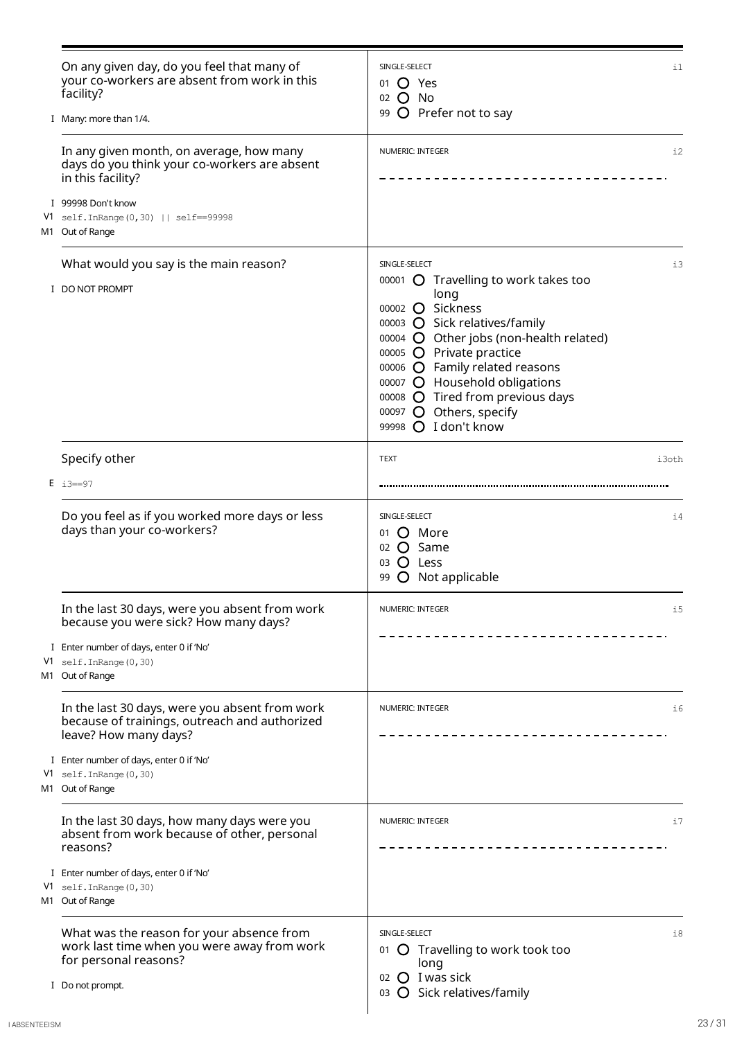| On any given day, do you feel that many of<br>your co-workers are absent from work in this<br>facility?<br>I Many: more than 1/4.                                                                                       | SINGLE-SELECT<br>i1<br>Yes<br>01<br>$\Omega$<br>$02$ O No<br>99 O Prefer not to say                                                                                                                                                                                                                                                                                     |
|-------------------------------------------------------------------------------------------------------------------------------------------------------------------------------------------------------------------------|-------------------------------------------------------------------------------------------------------------------------------------------------------------------------------------------------------------------------------------------------------------------------------------------------------------------------------------------------------------------------|
| In any given month, on average, how many<br>days do you think your co-workers are absent<br>in this facility?                                                                                                           | NUMERIC: INTEGER<br>i2                                                                                                                                                                                                                                                                                                                                                  |
| I 99998 Don't know<br>$V1$ self. In Range $(0, 30)$    self==99998<br>M1 Out of Range                                                                                                                                   |                                                                                                                                                                                                                                                                                                                                                                         |
| What would you say is the main reason?<br>I DO NOT PROMPT                                                                                                                                                               | SINGLE-SELECT<br>$\pm 3$<br>00001 O Travelling to work takes too<br>long<br>00002 O Sickness<br>00003 O Sick relatives/family<br>00004 $\bigcirc$ Other jobs (non-health related)<br>00005 O Private practice<br>00006 O Family related reasons<br>00007 O Household obligations<br>00008 O Tired from previous days<br>00097 O Others, specify<br>99998 O I don't know |
| Specify other<br>$E i3 == 97$                                                                                                                                                                                           | <b>TEXT</b><br>i3oth                                                                                                                                                                                                                                                                                                                                                    |
| Do you feel as if you worked more days or less<br>days than your co-workers?                                                                                                                                            | SINGLE-SELECT<br>i4<br>$\Omega$ More<br>01<br>$02$ $O$ Same<br>Less<br>03<br>O Not applicable<br>99                                                                                                                                                                                                                                                                     |
| In the last 30 days, were you absent from work<br>because you were sick? How many days?<br>I Enter number of days, enter 0 if 'No'<br>$V1$ self. In Range $(0, 30)$<br>M1 Out of Range                                  | NUMERIC: INTEGER<br>i5                                                                                                                                                                                                                                                                                                                                                  |
| In the last 30 days, were you absent from work<br>because of trainings, outreach and authorized<br>leave? How many days?<br>I Enter number of days, enter 0 if 'No'<br>$V1$ self. In Range $(0, 30)$<br>M1 Out of Range | NUMERIC: INTEGER<br>$\frac{1}{6}$                                                                                                                                                                                                                                                                                                                                       |
| In the last 30 days, how many days were you<br>absent from work because of other, personal<br>reasons?<br>I Enter number of days, enter 0 if 'No'<br>$V1$ self. In Range $(0, 30)$<br>M1 Out of Range                   | NUMERIC: INTEGER<br>i7                                                                                                                                                                                                                                                                                                                                                  |
| What was the reason for your absence from<br>work last time when you were away from work<br>for personal reasons?<br>I Do not prompt.                                                                                   | SINGLE-SELECT<br>18<br>Travelling to work took too<br>O<br>01<br>long<br>02 O I was sick<br>03 O Sick relatives/family                                                                                                                                                                                                                                                  |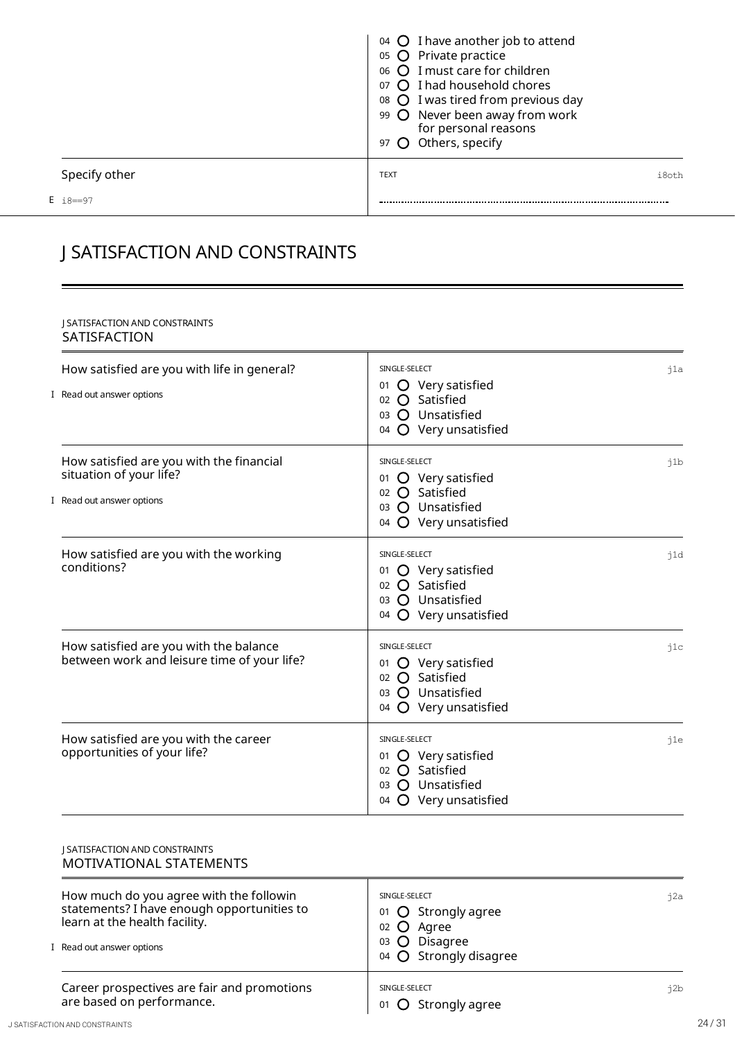|               | 04 $\bigcirc$ I have another job to attend<br>05 O Private practice<br>06 O I must care for children<br>07 O I had household chores<br>08 O I was tired from previous day<br>99 O Never been away from work<br>for personal reasons<br>97 O Others, specify |       |
|---------------|-------------------------------------------------------------------------------------------------------------------------------------------------------------------------------------------------------------------------------------------------------------|-------|
| Specify other | <b>TEXT</b>                                                                                                                                                                                                                                                 | i8oth |
| E i8==97      |                                                                                                                                                                                                                                                             |       |

# <span id="page-23-0"></span>J SATISFACTION AND CONSTRAINTS

#### J SATISFACTION AND CONSTRAINTS SATISFACTION

| How satisfied are you with life in general?<br>I Read out answer options                         | SINGLE-SELECT<br>01 O Very satisfied<br>02 O Satisfied<br>O Unsatisfied<br>03<br>O Very unsatisfied<br>04           | j1a |
|--------------------------------------------------------------------------------------------------|---------------------------------------------------------------------------------------------------------------------|-----|
| How satisfied are you with the financial<br>situation of your life?<br>I Read out answer options | SINGLE-SELECT<br>01 O Very satisfied<br>O Satisfied<br>02<br>O Unsatisfied<br>03<br>O Very unsatisfied<br>04        | 11b |
| How satisfied are you with the working<br>conditions?                                            | SINGLE-SELECT<br>O Very satisfied<br>01<br>O Satisfied<br>02<br>O Unsatisfied<br>03<br>O Very unsatisfied<br>04     | 1d  |
| How satisfied are you with the balance<br>between work and leisure time of your life?            | SINGLE-SELECT<br>01 O Very satisfied<br><b>O</b> Satisfied<br>02<br>O Unsatisfied<br>03<br>O Very unsatisfied<br>04 | 11c |
| How satisfied are you with the career<br>opportunities of your life?                             | SINGLE-SELECT<br>O Very satisfied<br>01<br>O Satisfied<br>02<br>Unsatisfied<br>03<br>O Very unsatisfied<br>04       | 1e  |

#### J SATISFACTION AND CONSTRAINTS MOTIVATIONAL STATEMENTS

| How much do you agree with the followin<br>statements? I have enough opportunities to<br>learn at the health facility.<br>I Read out answer options | SINGLE-SELECT<br>01 O Strongly agree<br>$02$ O<br>Agree<br>$03$ $\bullet$<br><b>Disagree</b><br>04 O Strongly disagree | j2a   |
|-----------------------------------------------------------------------------------------------------------------------------------------------------|------------------------------------------------------------------------------------------------------------------------|-------|
| Career prospectives are fair and promotions<br>are based on performance.                                                                            | SINGLE-SELECT<br>01 O Strongly agree                                                                                   | i2b   |
| J SATISFACTION AND CONSTRAINTS                                                                                                                      |                                                                                                                        | 24/31 |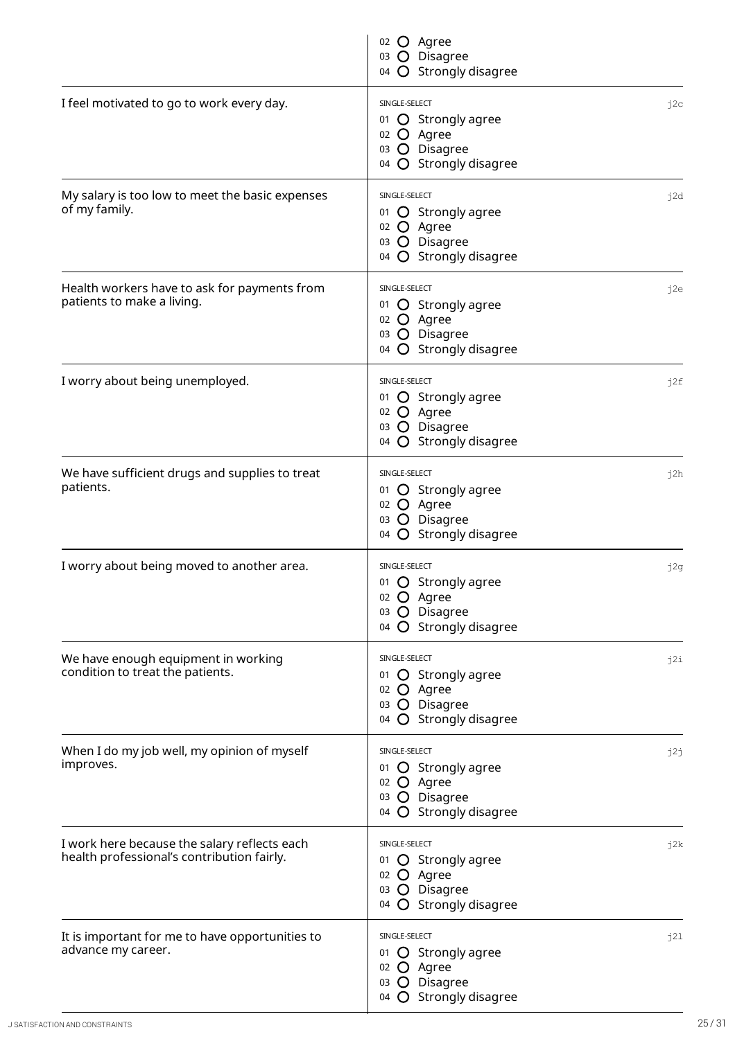|                                                                                            | 02 O Agree<br>03 O Disagree<br>O Strongly disagree<br>04                                         |     |
|--------------------------------------------------------------------------------------------|--------------------------------------------------------------------------------------------------|-----|
| I feel motivated to go to work every day.                                                  | SINGLE-SELECT<br>01 O Strongly agree<br>02 O Agree<br>03 O Disagree<br>O Strongly disagree<br>04 | j2c |
| My salary is too low to meet the basic expenses<br>of my family.                           | SINGLE-SELECT<br>01 O Strongly agree<br>02 O Agree<br>03 O Disagree<br>O Strongly disagree<br>04 | j2d |
| Health workers have to ask for payments from<br>patients to make a living.                 | SINGLE-SELECT<br>01 O Strongly agree<br>02 O Agree<br>03 O Disagree<br>04 O Strongly disagree    | 12e |
| I worry about being unemployed.                                                            | SINGLE-SELECT<br>01 O Strongly agree<br>02 O Agree<br>03 O Disagree<br>O Strongly disagree<br>04 | j2f |
| We have sufficient drugs and supplies to treat<br>patients.                                | SINGLE-SELECT<br>01 O Strongly agree<br>02 O Agree<br>03 O Disagree<br>O Strongly disagree<br>04 | j2h |
| I worry about being moved to another area.                                                 | SINGLE-SELECT<br>01 O Strongly agree<br>02 O Agree<br>03 O Disagree<br>O Strongly disagree<br>04 | j2g |
| We have enough equipment in working<br>condition to treat the patients.                    | SINGLE-SELECT<br>01 O Strongly agree<br>02 O Agree<br>03 O Disagree<br>04 O Strongly disagree    | j2i |
| When I do my job well, my opinion of myself<br>improves.                                   | SINGLE-SELECT<br>01 O Strongly agree<br>02 O Agree<br>03 O Disagree<br>04 O Strongly disagree    | j2j |
| I work here because the salary reflects each<br>health professional's contribution fairly. | SINGLE-SELECT<br>01 O Strongly agree<br>02 O Agree<br>03 O Disagree<br>04 O Strongly disagree    | j2k |
| It is important for me to have opportunities to<br>advance my career.                      | SINGLE-SELECT<br>01 O Strongly agree<br>02 O Agree<br>03 O Disagree<br>04 O Strongly disagree    | j21 |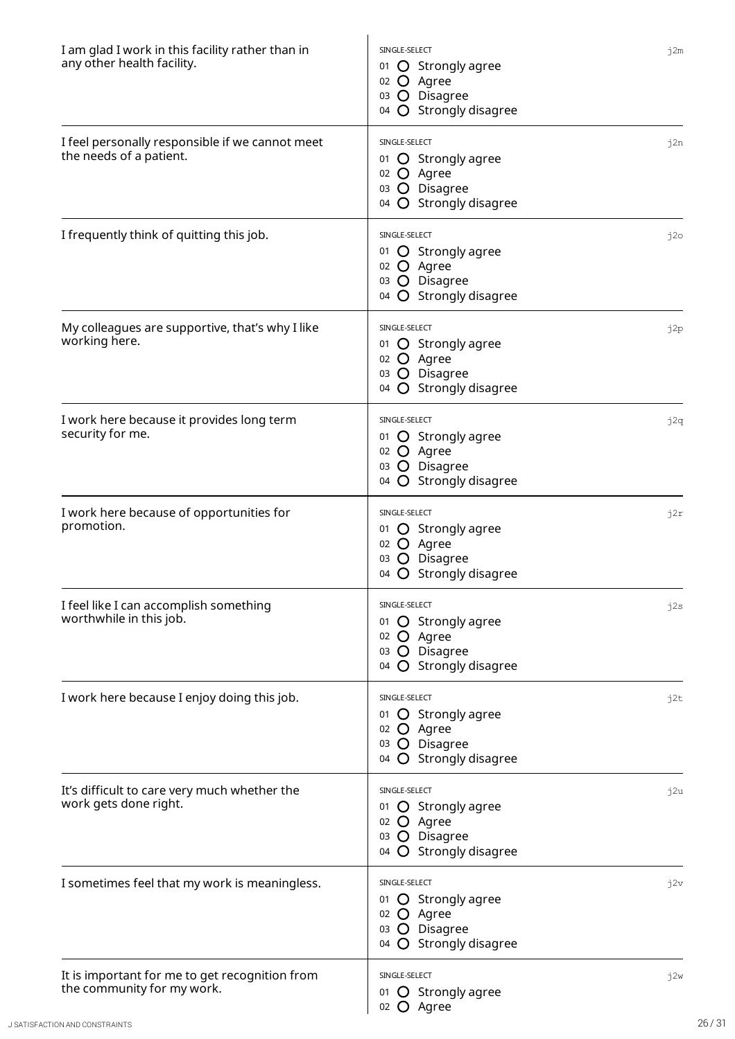| I am glad I work in this facility rather than in<br>any other health facility. | SINGLE-SELECT<br>01 O Strongly agree<br>02 O Agree<br>03 O Disagree<br>04 O Strongly disagree         | j2m |
|--------------------------------------------------------------------------------|-------------------------------------------------------------------------------------------------------|-----|
| I feel personally responsible if we cannot meet<br>the needs of a patient.     | SINGLE-SELECT<br>01 O Strongly agree<br>02 O Agree<br>03 O Disagree<br>04 O Strongly disagree         | j2n |
| I frequently think of quitting this job.                                       | SINGLE-SELECT<br>01 O Strongly agree<br>O Agree<br>02<br>03 O Disagree<br>O Strongly disagree<br>04   | j2o |
| My colleagues are supportive, that's why I like<br>working here.               | SINGLE-SELECT<br>01 O Strongly agree<br>02 O Agree<br>03 O Disagree<br>04 O Strongly disagree         | j2p |
| I work here because it provides long term<br>security for me.                  | SINGLE-SELECT<br>01 O Strongly agree<br>02 O Agree<br>03 O Disagree<br>04 O Strongly disagree         | j2q |
| I work here because of opportunities for<br>promotion.                         | SINGLE-SELECT<br>01 O Strongly agree<br>02 O Agree<br>$O3$ $O4$<br>Disagree<br>04 O Strongly disagree | j2r |
| I feel like I can accomplish something<br>worthwhile in this job.              | SINGLE-SELECT<br>01 O Strongly agree<br>02 O Agree<br>03 O Disagree<br>04 O Strongly disagree         | j2s |
| I work here because I enjoy doing this job.                                    | SINGLE-SELECT<br>01 O Strongly agree<br>02 O Agree<br>03 O Disagree<br>04 O Strongly disagree         | j2t |
| It's difficult to care very much whether the<br>work gets done right.          | SINGLE-SELECT<br>01 O Strongly agree<br>02 O Agree<br>03 O Disagree<br>04 O Strongly disagree         | j2u |
| I sometimes feel that my work is meaningless.                                  | SINGLE-SELECT<br>01 O Strongly agree<br>02 O Agree<br>03 O Disagree<br>04 O Strongly disagree         | j2v |
| It is important for me to get recognition from<br>the community for my work.   | SINGLE-SELECT<br>01 O Strongly agree<br>02 O Agree                                                    | j2w |

Dis a g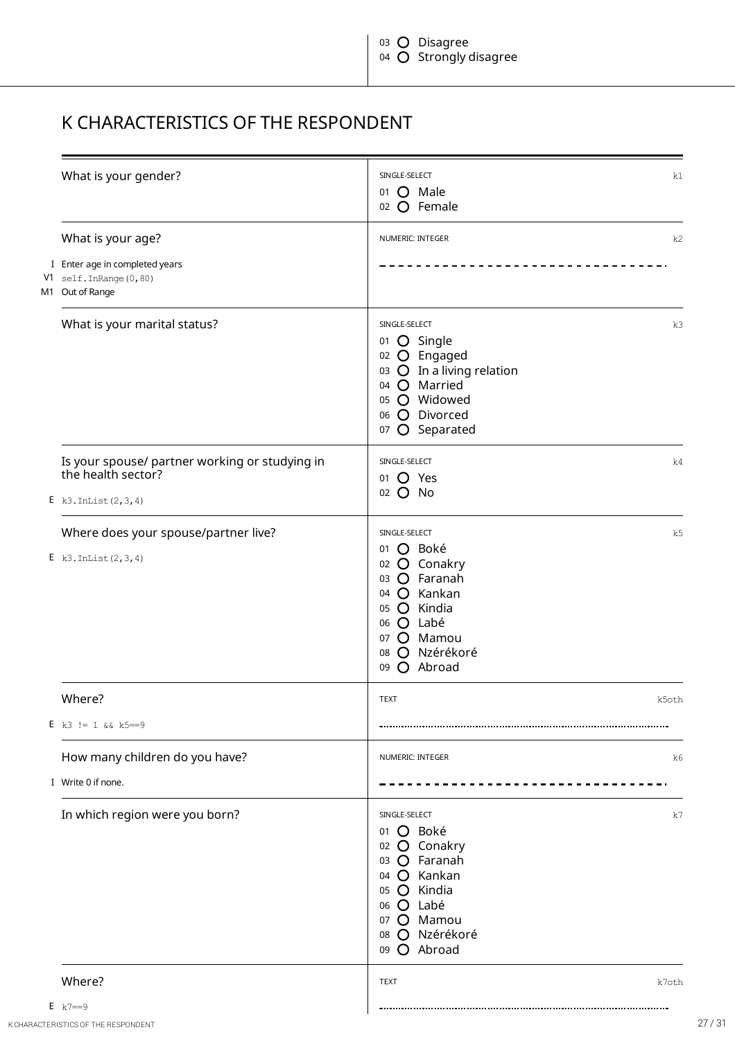03 Agree Disagree

04 Strongly disagree

# <span id="page-26-0"></span>K CHARACTERISTICS OF THE RESPONDENT

| What is your gender?                                                                               | SINGLE-SELECT<br>01 O Male<br>02 O Female                                                                                                            | k1    |
|----------------------------------------------------------------------------------------------------|------------------------------------------------------------------------------------------------------------------------------------------------------|-------|
| What is your age?                                                                                  | NUMERIC: INTEGER                                                                                                                                     | k2    |
| I Enter age in completed years<br>$V1$ self. InRange $(0, 80)$<br>M1 Out of Range                  |                                                                                                                                                      |       |
| What is your marital status?                                                                       | SINGLE-SELECT<br>01 O Single<br>02 O Engaged<br>03 O In a living relation<br>04 O Married<br>05 O Widowed<br>06 O Divorced<br>07 O Separated         | k3    |
| Is your spouse/ partner working or studying in<br>the health sector?<br>$E$ k3. InList $(2, 3, 4)$ | SINGLE-SELECT<br>01 O Yes<br>02 O No                                                                                                                 | k4    |
| Where does your spouse/partner live?                                                               | SINGLE-SELECT                                                                                                                                        | k5    |
| $E$ k3. InList $(2, 3, 4)$                                                                         | 01 O Boké<br>02 O Conakry<br>03 O Faranah<br>04 O Kankan<br>05 O Kindia<br>06 O Labé<br>07 O Mamou<br>08 O Nzérékoré<br>09 O Abroad                  |       |
| Where?                                                                                             | <b>TEXT</b>                                                                                                                                          | k5oth |
| E k3 != 1 && k5==9                                                                                 |                                                                                                                                                      |       |
| How many children do you have?                                                                     | NUMERIC: INTEGER                                                                                                                                     | k6    |
| I Write 0 if none.                                                                                 |                                                                                                                                                      |       |
| In which region were you born?                                                                     | SINGLE-SELECT<br>01 O Boké<br>02 O Conakry<br>03 O Faranah<br>04 O Kankan<br>05 O Kindia<br>06 O Labé<br>07 O Mamou<br>08 O Nzérékoré<br>09 O Abroad | k7    |
| Where?                                                                                             | <b>TEXT</b>                                                                                                                                          | k7oth |
| $E k7 == 9$                                                                                        |                                                                                                                                                      |       |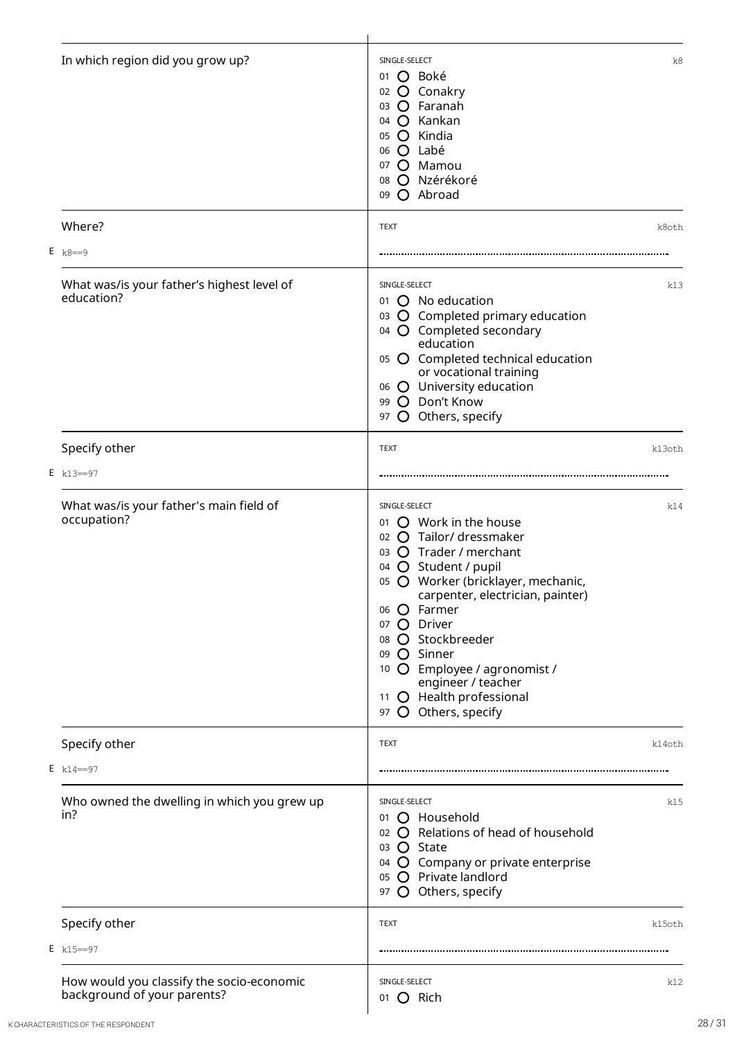| In which region did you grow up?                                         | SINGLE-SELECT<br>O Boké<br>01<br>02 O Conakry<br>03 O Faranah<br>04 O Kankan<br>05 O Kindia<br>$06$ $\bullet$<br>Labé<br>07 O Mamou<br>08 O Nzérékoré<br>09 O Abroad                                                                                                                                                                                                       | k8     |
|--------------------------------------------------------------------------|----------------------------------------------------------------------------------------------------------------------------------------------------------------------------------------------------------------------------------------------------------------------------------------------------------------------------------------------------------------------------|--------|
| Where?                                                                   | <b>TEXT</b>                                                                                                                                                                                                                                                                                                                                                                | k8oth  |
| $E k8 == 9$                                                              |                                                                                                                                                                                                                                                                                                                                                                            |        |
| What was/is your father's highest level of<br>education?                 | SINGLE-SELECT<br>01 O No education<br>03 O Completed primary education<br>04 O Completed secondary<br>education<br>05 O Completed technical education<br>or vocational training<br>06 O University education<br>99 O Don't Know<br>97 O Others, specify                                                                                                                    | k13    |
| Specify other                                                            | <b>TEXT</b>                                                                                                                                                                                                                                                                                                                                                                | k13oth |
| $E k13 = -97$                                                            |                                                                                                                                                                                                                                                                                                                                                                            |        |
| What was/is your father's main field of<br>occupation?                   | SINGLE-SELECT<br>01 O Work in the house<br>02 O Tailor/ dressmaker<br>03 O Trader / merchant<br>04 O Student / pupil<br>05 O Worker (bricklayer, mechanic,<br>carpenter, electrician, painter)<br>06 O Farmer<br>07 O Driver<br>08 O Stockbreeder<br>09 O Sinner<br>10 O Employee / agronomist /<br>engineer / teacher<br>11 O Health professional<br>97 O Others, specify | k14    |
| Specify other                                                            | <b>TEXT</b>                                                                                                                                                                                                                                                                                                                                                                | k14oth |
| $E k14 = -97$                                                            |                                                                                                                                                                                                                                                                                                                                                                            |        |
| Who owned the dwelling in which you grew up<br>in?                       | SINGLE-SELECT<br>01 O Household<br>02 O Relations of head of household<br>03 O State<br>04 O Company or private enterprise<br>05 O Private landlord<br>97 O Others, specify                                                                                                                                                                                                | k15    |
| Specify other                                                            | <b>TEXT</b>                                                                                                                                                                                                                                                                                                                                                                | k15oth |
| $E k15 == 97$                                                            |                                                                                                                                                                                                                                                                                                                                                                            |        |
| How would you classify the socio-economic<br>background of your parents? | SINGLE-SELECT<br>01 O Rich                                                                                                                                                                                                                                                                                                                                                 | k12    |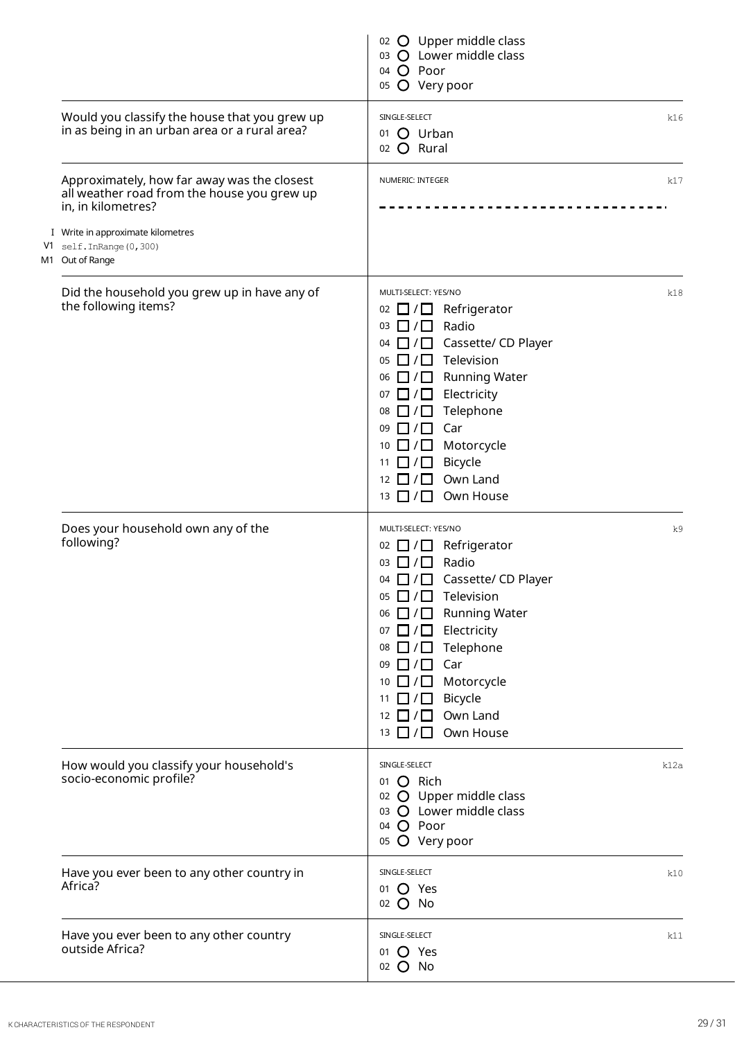|                                                                                                                  | 02 O Upper middle class<br>03 O Lower middle class<br>$O$ Poor<br>04<br>O Very poor<br>05                                                                                                                                                                                                                                                                                                           |
|------------------------------------------------------------------------------------------------------------------|-----------------------------------------------------------------------------------------------------------------------------------------------------------------------------------------------------------------------------------------------------------------------------------------------------------------------------------------------------------------------------------------------------|
| Would you classify the house that you grew up<br>in as being in an urban area or a rural area?                   | SINGLE-SELECT<br>k16<br>01 O Urban<br>02 O Rural                                                                                                                                                                                                                                                                                                                                                    |
| Approximately, how far away was the closest<br>all weather road from the house you grew up<br>in, in kilometres? | NUMERIC: INTEGER<br>k17                                                                                                                                                                                                                                                                                                                                                                             |
| I Write in approximate kilometres<br>$V1$ self. In Range (0,300)<br>M1 Out of Range                              |                                                                                                                                                                                                                                                                                                                                                                                                     |
| Did the household you grew up in have any of<br>the following items?                                             | MULTI-SELECT: YES/NO<br>k18<br>$02$ $\Box$ / $\Box$ Refrigerator<br>Radio<br>71 L<br>03<br>$\mathbf{I}$<br>Cassette/ CD Player<br>$\Box$<br>04<br>Television<br>05<br><b>Running Water</b><br>06<br>Electricity<br>07<br>$\overline{\phantom{0}}$<br>Telephone<br>08<br>Car<br>09<br>Motorcycle<br>7 L I<br>10<br>Bicycle<br>- 1<br>11<br>Own Land<br>12<br>Own House<br>71 T<br>13<br>$\mathbf{I}$ |
| Does your household own any of the<br>following?                                                                 | k9<br>MULTI-SELECT: YES/NO<br>Refrigerator<br>7⊔<br>02<br>Radio<br>03<br>Cassette/ CD Player<br>04<br>l 1<br>Television<br>05<br><b>Running Water</b><br>06<br>Electricity<br>7 L<br>07<br>Telephone<br>08<br>- 1<br>Car<br>09<br>Motorcycle<br>$\Box$<br>10<br>Bicycle<br>a ka<br>11<br>Own Land<br>12<br>Own House<br>71 I<br>13<br>$\mathbf{I}$                                                  |
| How would you classify your household's<br>socio-economic profile?                                               | SINGLE-SELECT<br>k12a<br>O Rich<br>01<br>02 O Upper middle class<br>03 O Lower middle class<br>04 O Poor<br>O Very poor<br>05                                                                                                                                                                                                                                                                       |
| Have you ever been to any other country in<br>Africa?                                                            | SINGLE-SELECT<br>k10<br>01 <b>O</b> Yes<br>02 O No                                                                                                                                                                                                                                                                                                                                                  |
| Have you ever been to any other country<br>outside Africa?                                                       | SINGLE-SELECT<br>k11<br>01 O Yes<br>02 O No                                                                                                                                                                                                                                                                                                                                                         |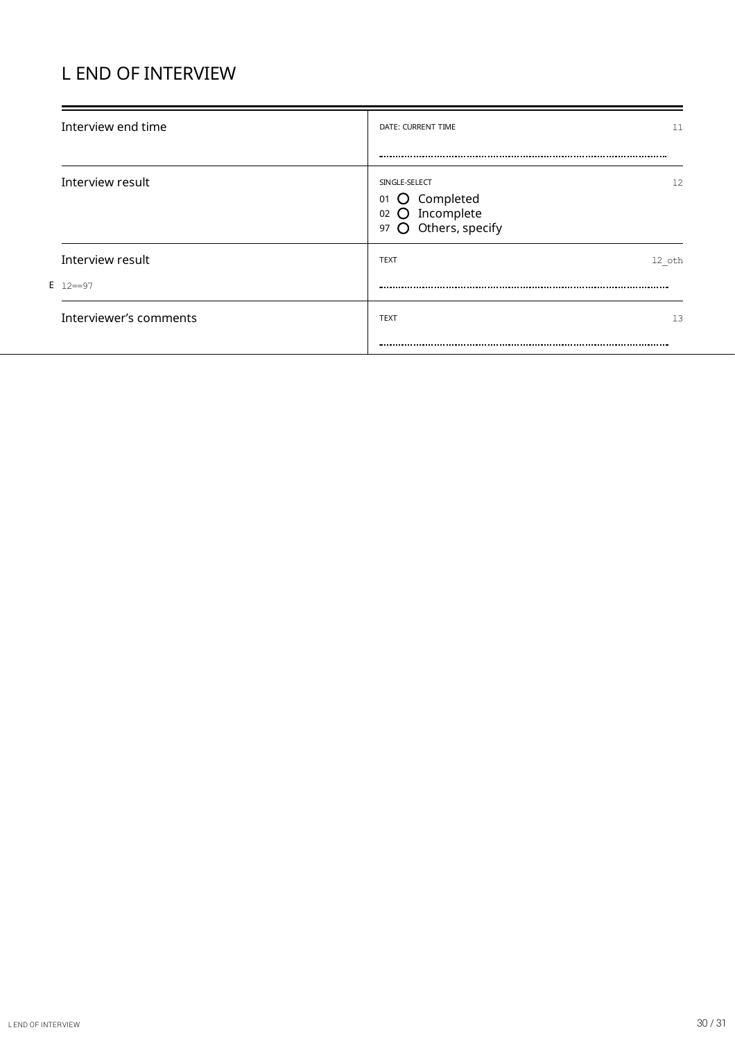# <span id="page-29-0"></span>L END OFINTERVIEW

| Interview end time                 | DATE: CURRENT TIME<br>11                                                             |
|------------------------------------|--------------------------------------------------------------------------------------|
|                                    |                                                                                      |
| Interview result                   | 12.<br>SINGLE-SELECT<br>O Completed<br>01<br>02 O Incomplete<br>97 O Others, specify |
| Interview result<br>$E = 12 == 97$ | <b>TEXT</b><br>12 oth                                                                |
| Interviewer's comments             | <b>TEXT</b><br>13                                                                    |